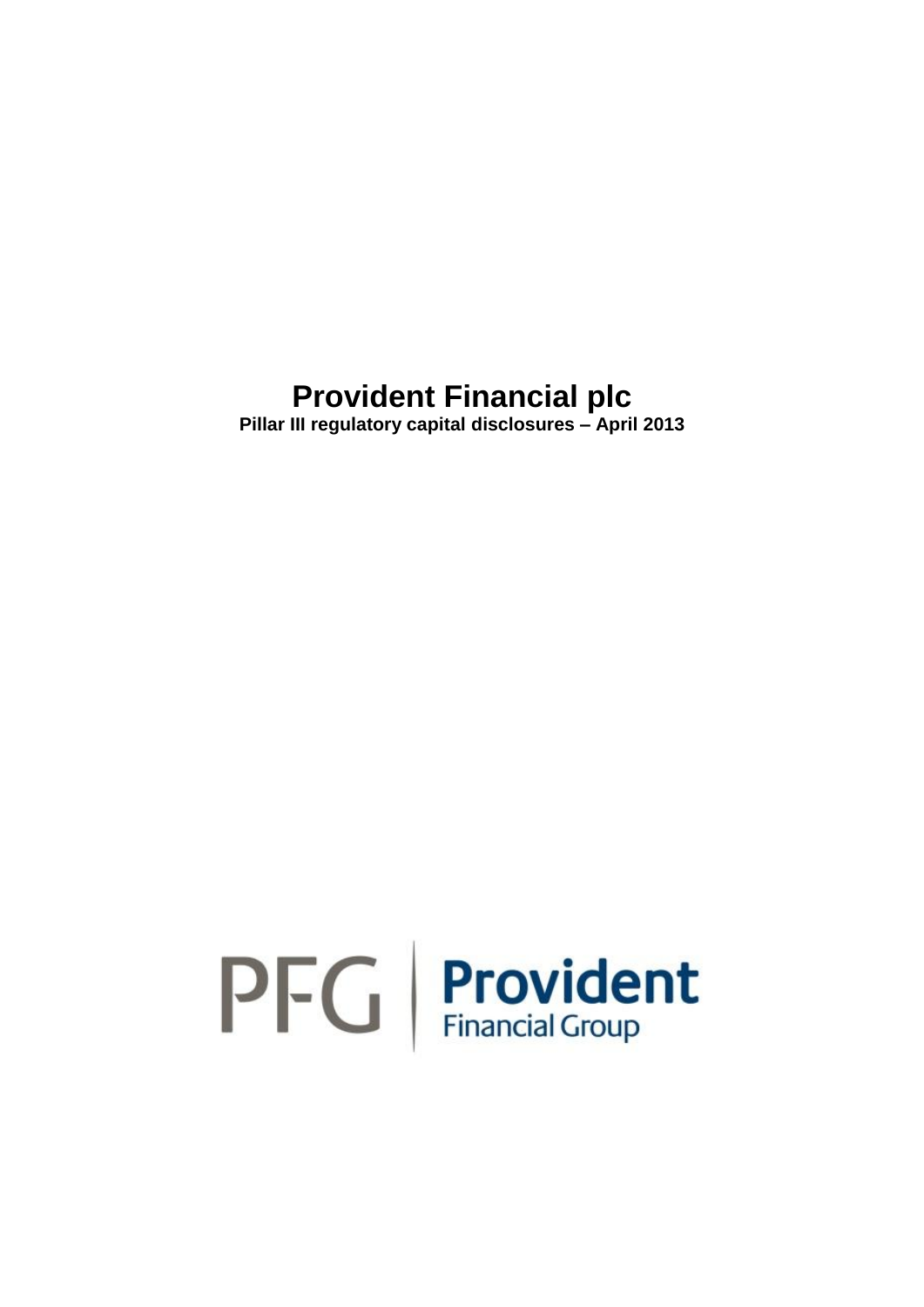**Pillar III regulatory capital disclosures – April 2013**

# $PFG$  Provident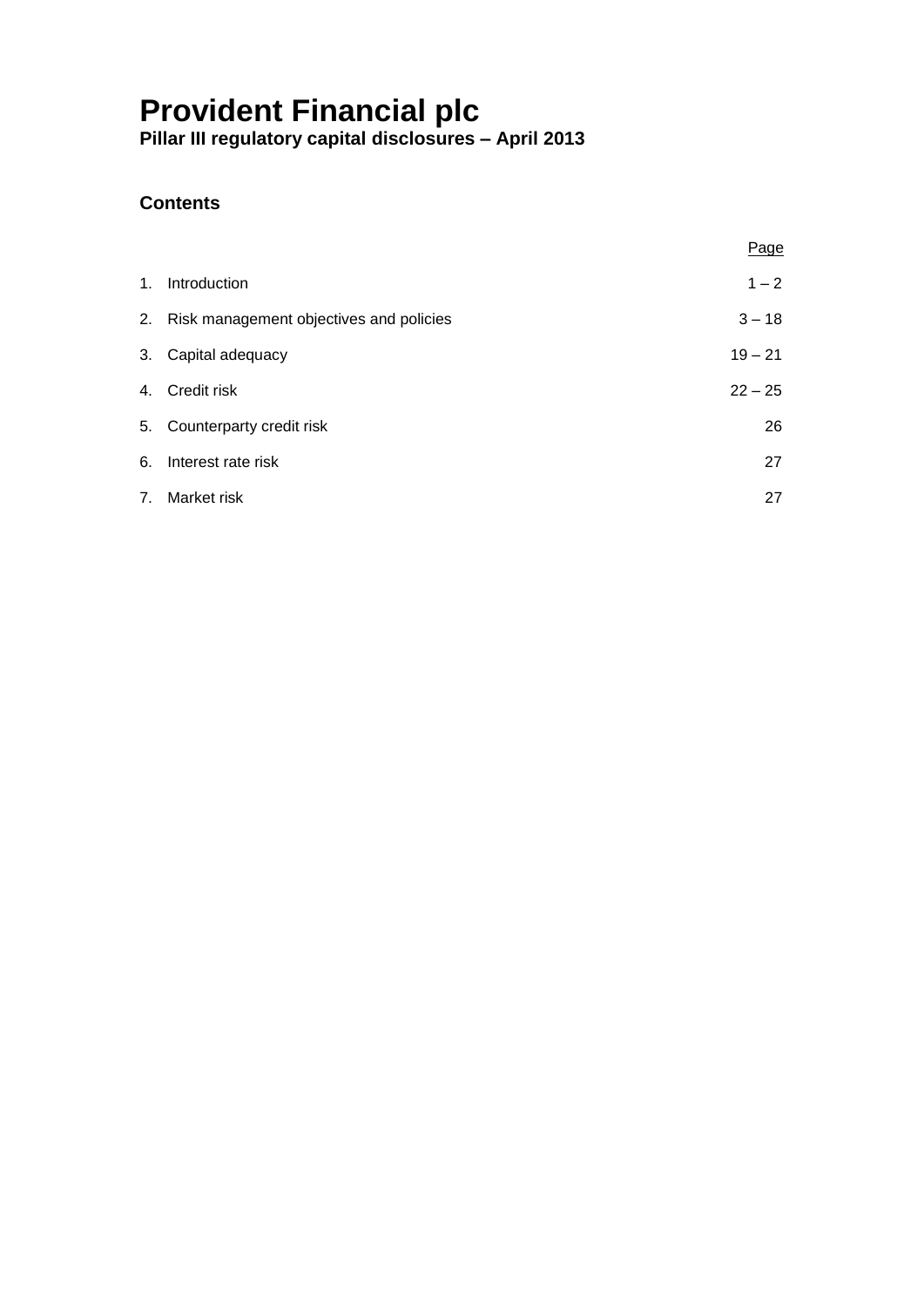**Pillar III regulatory capital disclosures – April 2013**

### **Contents**

|                                            | Page      |
|--------------------------------------------|-----------|
| 1. Introduction                            | $1 - 2$   |
| 2. Risk management objectives and policies | $3 - 18$  |
| 3. Capital adequacy                        | $19 - 21$ |
| 4. Credit risk                             | $22 - 25$ |
| 5. Counterparty credit risk                | 26        |
| 6. Interest rate risk                      | 27        |
| 7. Market risk                             | 27        |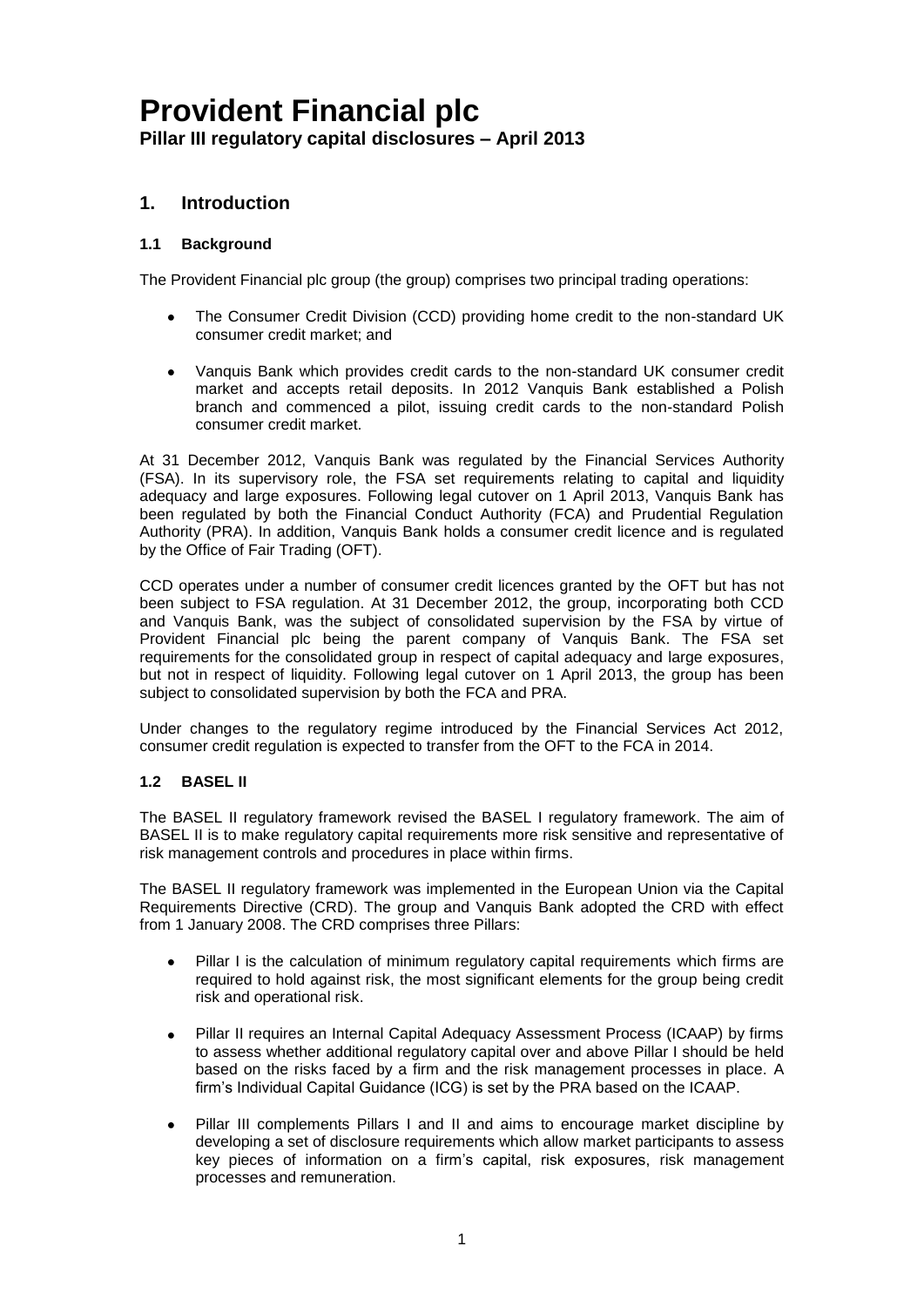### **1. Introduction**

### **1.1 Background**

The Provident Financial plc group (the group) comprises two principal trading operations:

- The Consumer Credit Division (CCD) providing home credit to the non-standard UK consumer credit market; and
- Vanquis Bank which provides credit cards to the non-standard UK consumer credit market and accepts retail deposits. In 2012 Vanquis Bank established a Polish branch and commenced a pilot, issuing credit cards to the non-standard Polish consumer credit market.

At 31 December 2012, Vanquis Bank was regulated by the Financial Services Authority (FSA). In its supervisory role, the FSA set requirements relating to capital and liquidity adequacy and large exposures. Following legal cutover on 1 April 2013, Vanquis Bank has been regulated by both the Financial Conduct Authority (FCA) and Prudential Regulation Authority (PRA). In addition, Vanquis Bank holds a consumer credit licence and is regulated by the Office of Fair Trading (OFT).

CCD operates under a number of consumer credit licences granted by the OFT but has not been subject to FSA regulation. At 31 December 2012, the group, incorporating both CCD and Vanquis Bank, was the subject of consolidated supervision by the FSA by virtue of Provident Financial plc being the parent company of Vanquis Bank. The FSA set requirements for the consolidated group in respect of capital adequacy and large exposures, but not in respect of liquidity. Following legal cutover on 1 April 2013, the group has been subject to consolidated supervision by both the FCA and PRA.

Under changes to the regulatory regime introduced by the Financial Services Act 2012, consumer credit regulation is expected to transfer from the OFT to the FCA in 2014.

### **1.2 BASEL II**

The BASEL II regulatory framework revised the BASEL I regulatory framework. The aim of BASEL II is to make regulatory capital requirements more risk sensitive and representative of risk management controls and procedures in place within firms.

The BASEL II regulatory framework was implemented in the European Union via the Capital Requirements Directive (CRD). The group and Vanquis Bank adopted the CRD with effect from 1 January 2008. The CRD comprises three Pillars:

- Pillar I is the calculation of minimum regulatory capital requirements which firms are required to hold against risk, the most significant elements for the group being credit risk and operational risk.
- Pillar II requires an Internal Capital Adequacy Assessment Process (ICAAP) by firms  $\bullet$ to assess whether additional regulatory capital over and above Pillar I should be held based on the risks faced by a firm and the risk management processes in place. A firm's Individual Capital Guidance (ICG) is set by the PRA based on the ICAAP.
- Pillar III complements Pillars I and II and aims to encourage market discipline by  $\bullet$ developing a set of disclosure requirements which allow market participants to assess key pieces of information on a firm's capital, risk exposures, risk management processes and remuneration.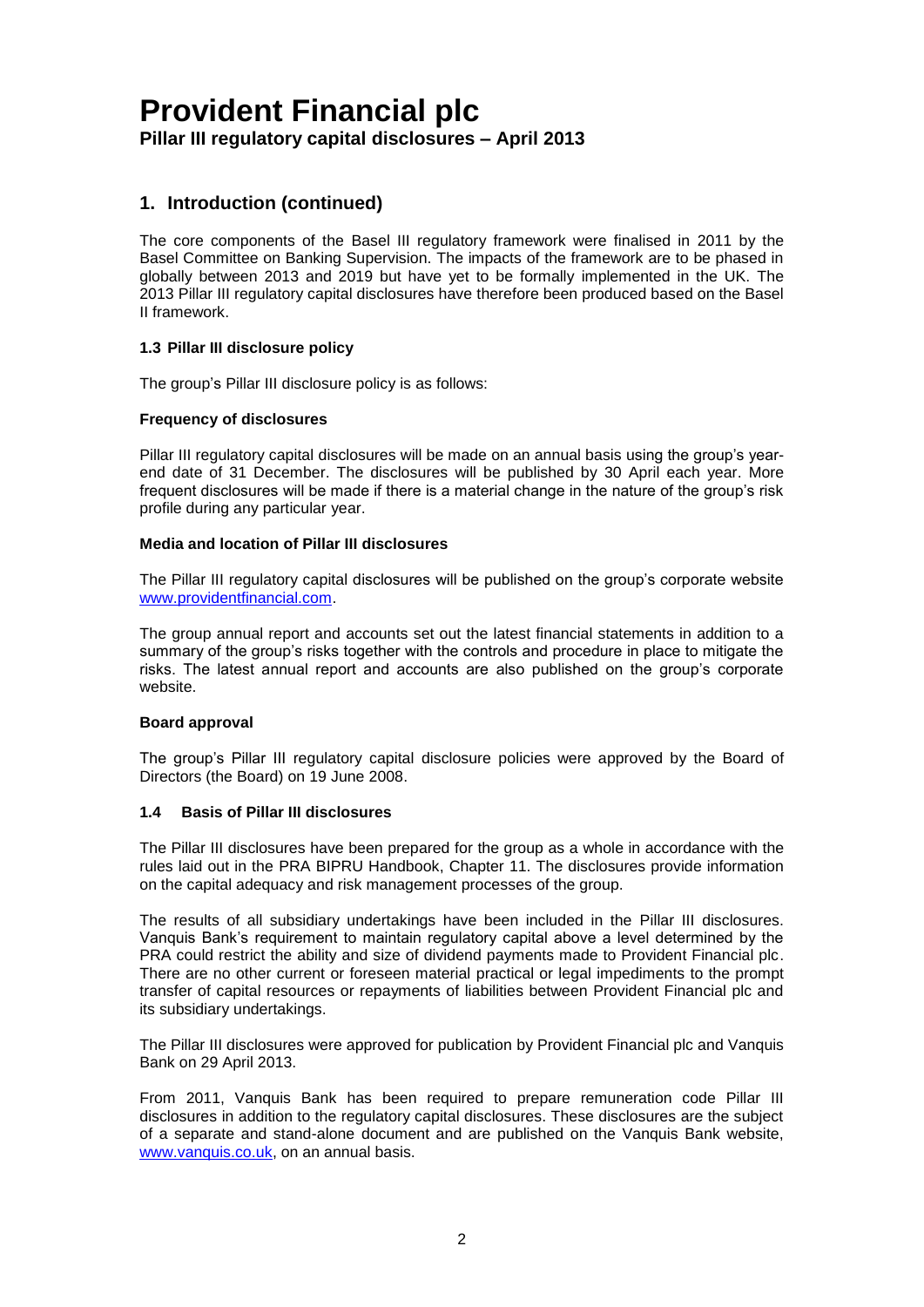### **1. Introduction (continued)**

The core components of the Basel III regulatory framework were finalised in 2011 by the Basel Committee on Banking Supervision. The impacts of the framework are to be phased in globally between 2013 and 2019 but have yet to be formally implemented in the UK. The 2013 Pillar III regulatory capital disclosures have therefore been produced based on the Basel II framework.

### **1.3 Pillar III disclosure policy**

The group's Pillar III disclosure policy is as follows:

### **Frequency of disclosures**

Pillar III regulatory capital disclosures will be made on an annual basis using the group's yearend date of 31 December. The disclosures will be published by 30 April each year. More frequent disclosures will be made if there is a material change in the nature of the group's risk profile during any particular year.

### **Media and location of Pillar III disclosures**

The Pillar III regulatory capital disclosures will be published on the group's corporate website [www.providentfinancial.com.](http://www.providentfinancial.com/)

The group annual report and accounts set out the latest financial statements in addition to a summary of the group's risks together with the controls and procedure in place to mitigate the risks. The latest annual report and accounts are also published on the group's corporate website.

### **Board approval**

The group's Pillar III regulatory capital disclosure policies were approved by the Board of Directors (the Board) on 19 June 2008.

### **1.4 Basis of Pillar III disclosures**

The Pillar III disclosures have been prepared for the group as a whole in accordance with the rules laid out in the PRA BIPRU Handbook, Chapter 11. The disclosures provide information on the capital adequacy and risk management processes of the group.

The results of all subsidiary undertakings have been included in the Pillar III disclosures. Vanquis Bank's requirement to maintain regulatory capital above a level determined by the PRA could restrict the ability and size of dividend payments made to Provident Financial plc. There are no other current or foreseen material practical or legal impediments to the prompt transfer of capital resources or repayments of liabilities between Provident Financial plc and its subsidiary undertakings.

The Pillar III disclosures were approved for publication by Provident Financial plc and Vanquis Bank on 29 April 2013.

From 2011, Vanquis Bank has been required to prepare remuneration code Pillar III disclosures in addition to the regulatory capital disclosures. These disclosures are the subject of a separate and stand-alone document and are published on the Vanquis Bank website, [www.vanquis.co.uk,](http://www.vanquis.co.uk/) on an annual basis.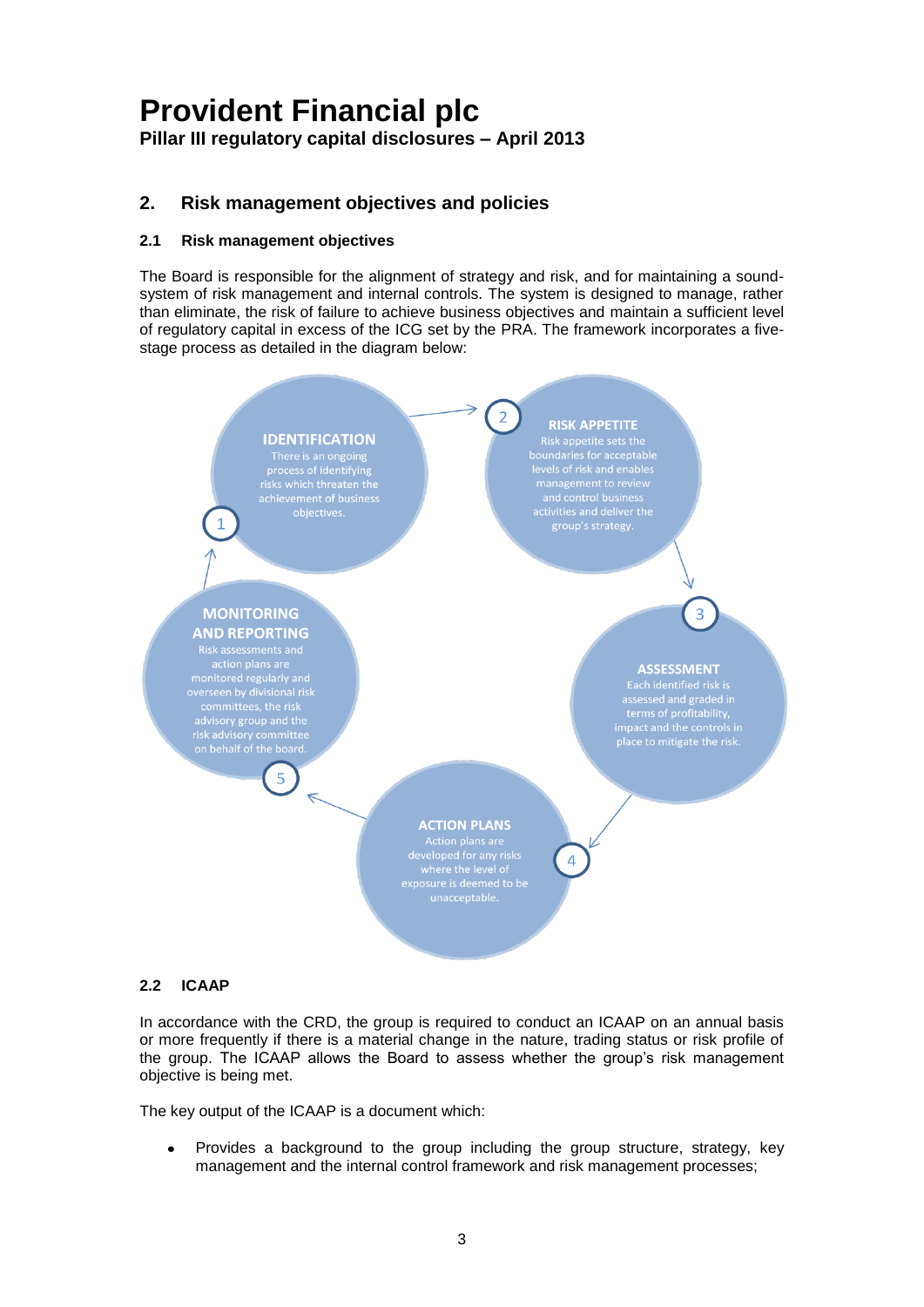### **2. Risk management objectives and policies**

### **2.1 Risk management objectives**

The Board is responsible for the alignment of strategy and risk, and for maintaining a soundsystem of risk management and internal controls. The system is designed to manage, rather than eliminate, the risk of failure to achieve business objectives and maintain a sufficient level of regulatory capital in excess of the ICG set by the PRA. The framework incorporates a fivestage process as detailed in the diagram below:



### **2.2 ICAAP**

In accordance with the CRD, the group is required to conduct an ICAAP on an annual basis or more frequently if there is a material change in the nature, trading status or risk profile of the group. The ICAAP allows the Board to assess whether the group's risk management objective is being met.

The key output of the ICAAP is a document which:

Provides a background to the group including the group structure, strategy, key management and the internal control framework and risk management processes;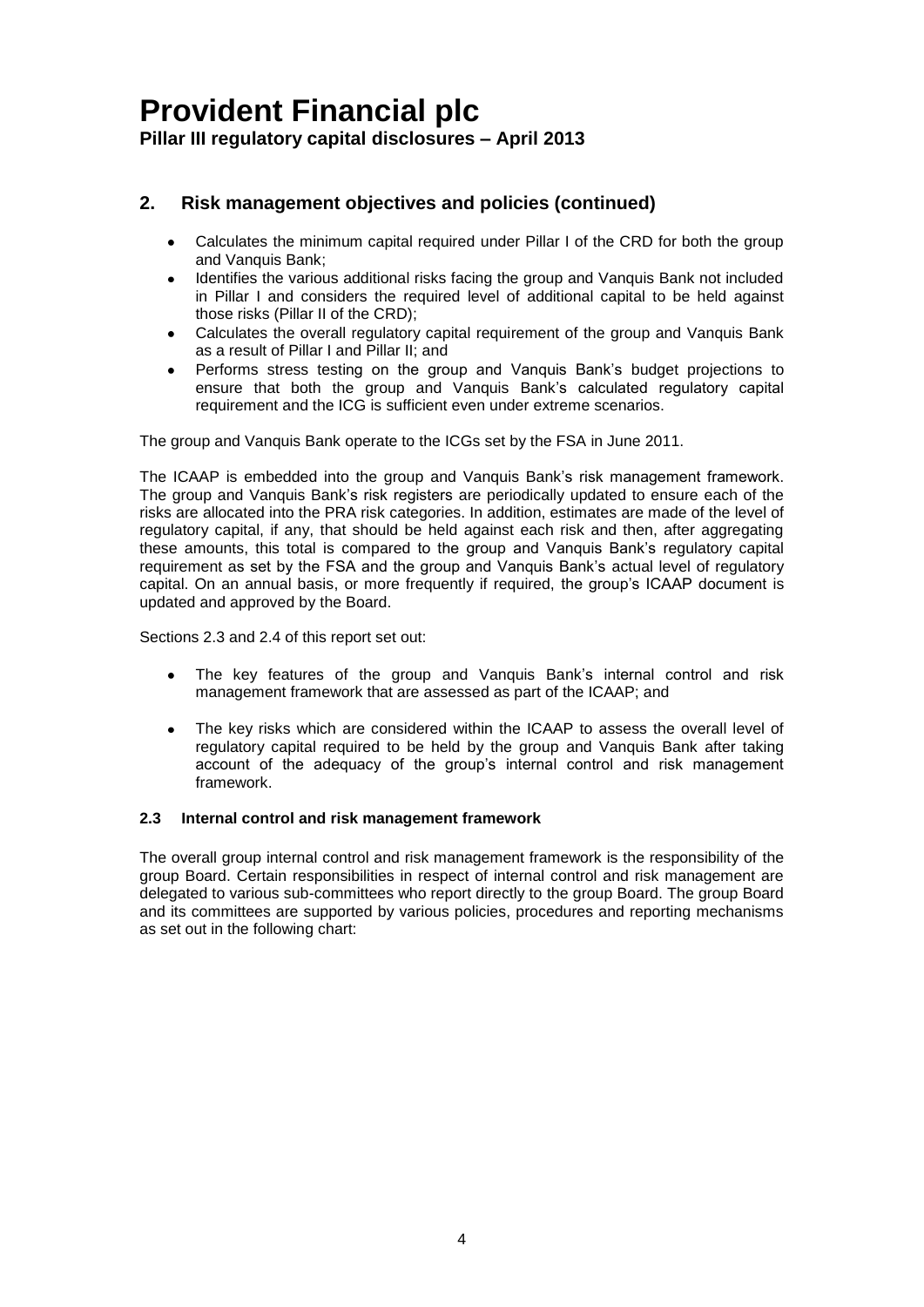### **2. Risk management objectives and policies (continued)**

- Calculates the minimum capital required under Pillar I of the CRD for both the group and Vanquis Bank;
- Identifies the various additional risks facing the group and Vanquis Bank not included in Pillar I and considers the required level of additional capital to be held against those risks (Pillar II of the CRD);
- Calculates the overall regulatory capital requirement of the group and Vanquis Bank  $\bullet$ as a result of Pillar I and Pillar II; and
- Performs stress testing on the group and Vanquis Bank's budget projections to ensure that both the group and Vanquis Bank's calculated regulatory capital requirement and the ICG is sufficient even under extreme scenarios.

The group and Vanquis Bank operate to the ICGs set by the FSA in June 2011.

The ICAAP is embedded into the group and Vanquis Bank's risk management framework. The group and Vanquis Bank's risk registers are periodically updated to ensure each of the risks are allocated into the PRA risk categories. In addition, estimates are made of the level of regulatory capital, if any, that should be held against each risk and then, after aggregating these amounts, this total is compared to the group and Vanquis Bank's regulatory capital requirement as set by the FSA and the group and Vanquis Bank's actual level of regulatory capital. On an annual basis, or more frequently if required, the group's ICAAP document is updated and approved by the Board.

Sections 2.3 and 2.4 of this report set out:

- The key features of the group and Vanquis Bank's internal control and risk management framework that are assessed as part of the ICAAP; and
- The key risks which are considered within the ICAAP to assess the overall level of  $\bullet$ regulatory capital required to be held by the group and Vanquis Bank after taking account of the adequacy of the group's internal control and risk management framework.

### **2.3 Internal control and risk management framework**

The overall group internal control and risk management framework is the responsibility of the group Board. Certain responsibilities in respect of internal control and risk management are delegated to various sub-committees who report directly to the group Board. The group Board and its committees are supported by various policies, procedures and reporting mechanisms as set out in the following chart: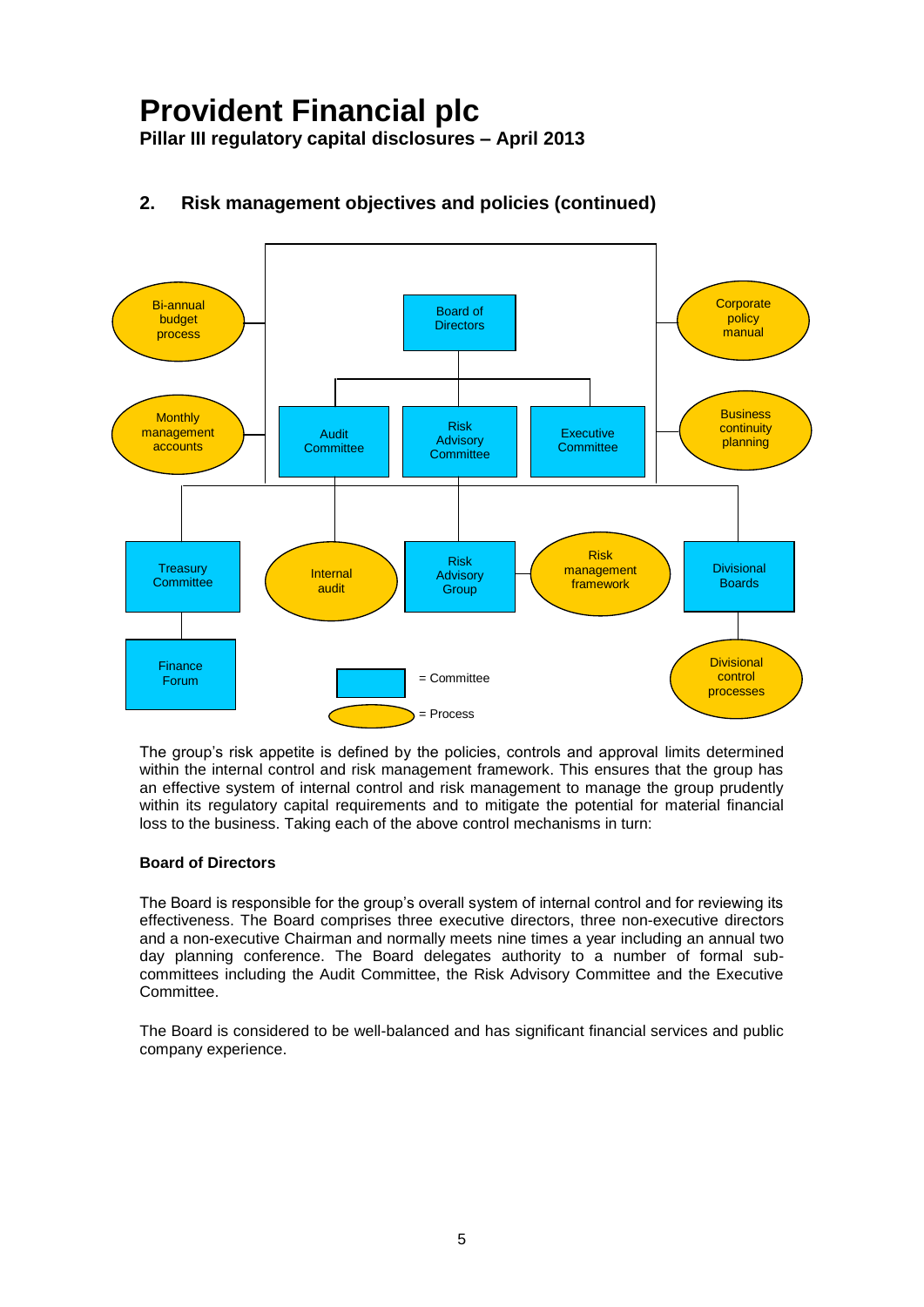**Pillar III regulatory capital disclosures – April 2013**



### **2. Risk management objectives and policies (continued)**

The group's risk appetite is defined by the policies, controls and approval limits determined within the internal control and risk management framework. This ensures that the group has an effective system of internal control and risk management to manage the group prudently within its regulatory capital requirements and to mitigate the potential for material financial loss to the business. Taking each of the above control mechanisms in turn:

### **Board of Directors**

The Board is responsible for the group's overall system of internal control and for reviewing its effectiveness. The Board comprises three executive directors, three non-executive directors and a non-executive Chairman and normally meets nine times a year including an annual two day planning conference. The Board delegates authority to a number of formal subcommittees including the Audit Committee, the Risk Advisory Committee and the Executive Committee.

The Board is considered to be well-balanced and has significant financial services and public company experience.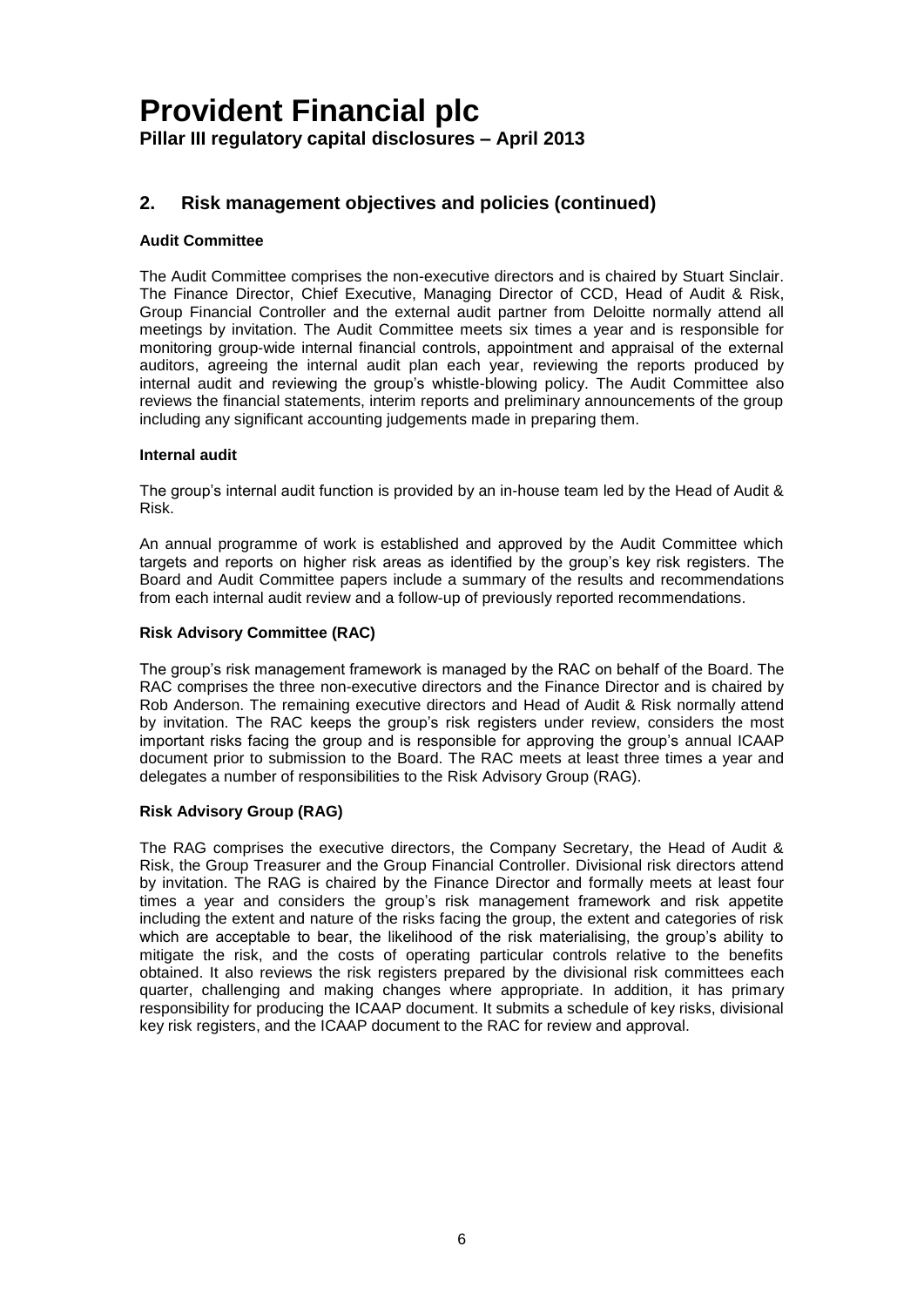### **2. Risk management objectives and policies (continued)**

### **Audit Committee**

The Audit Committee comprises the non-executive directors and is chaired by Stuart Sinclair. The Finance Director, Chief Executive, Managing Director of CCD, Head of Audit & Risk, Group Financial Controller and the external audit partner from Deloitte normally attend all meetings by invitation. The Audit Committee meets six times a year and is responsible for monitoring group-wide internal financial controls, appointment and appraisal of the external auditors, agreeing the internal audit plan each year, reviewing the reports produced by internal audit and reviewing the group's whistle-blowing policy. The Audit Committee also reviews the financial statements, interim reports and preliminary announcements of the group including any significant accounting judgements made in preparing them.

### **Internal audit**

The group's internal audit function is provided by an in-house team led by the Head of Audit & Risk.

An annual programme of work is established and approved by the Audit Committee which targets and reports on higher risk areas as identified by the group's key risk registers. The Board and Audit Committee papers include a summary of the results and recommendations from each internal audit review and a follow-up of previously reported recommendations.

### **Risk Advisory Committee (RAC)**

The group's risk management framework is managed by the RAC on behalf of the Board. The RAC comprises the three non-executive directors and the Finance Director and is chaired by Rob Anderson. The remaining executive directors and Head of Audit & Risk normally attend by invitation. The RAC keeps the group's risk registers under review, considers the most important risks facing the group and is responsible for approving the group's annual ICAAP document prior to submission to the Board. The RAC meets at least three times a year and delegates a number of responsibilities to the Risk Advisory Group (RAG).

#### **Risk Advisory Group (RAG)**

The RAG comprises the executive directors, the Company Secretary, the Head of Audit & Risk, the Group Treasurer and the Group Financial Controller. Divisional risk directors attend by invitation. The RAG is chaired by the Finance Director and formally meets at least four times a year and considers the group's risk management framework and risk appetite including the extent and nature of the risks facing the group, the extent and categories of risk which are acceptable to bear, the likelihood of the risk materialising, the group's ability to mitigate the risk, and the costs of operating particular controls relative to the benefits obtained. It also reviews the risk registers prepared by the divisional risk committees each quarter, challenging and making changes where appropriate. In addition, it has primary responsibility for producing the ICAAP document. It submits a schedule of key risks, divisional key risk registers, and the ICAAP document to the RAC for review and approval.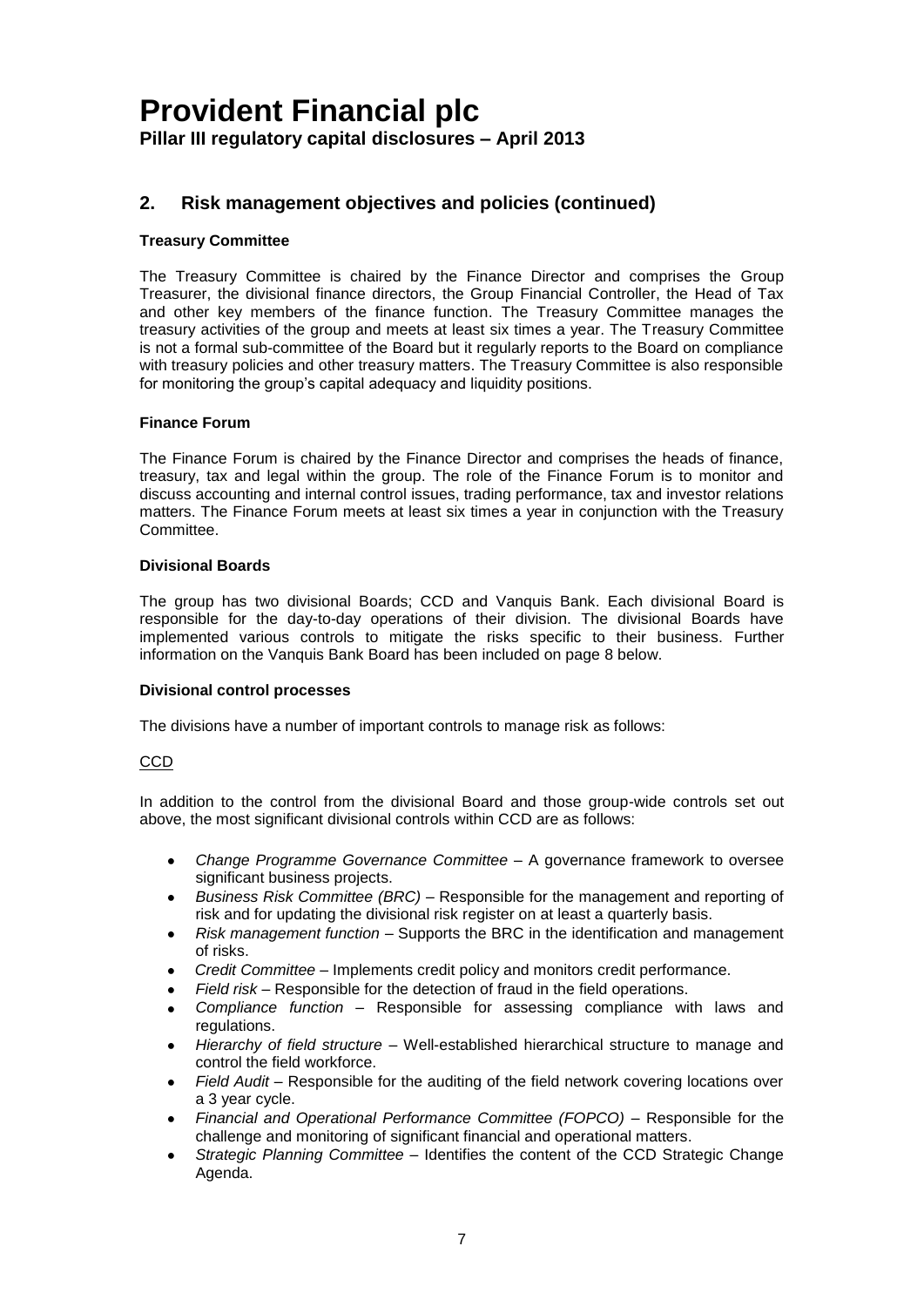### **2. Risk management objectives and policies (continued)**

### **Treasury Committee**

The Treasury Committee is chaired by the Finance Director and comprises the Group Treasurer, the divisional finance directors, the Group Financial Controller, the Head of Tax and other key members of the finance function. The Treasury Committee manages the treasury activities of the group and meets at least six times a year. The Treasury Committee is not a formal sub-committee of the Board but it regularly reports to the Board on compliance with treasury policies and other treasury matters. The Treasury Committee is also responsible for monitoring the group's capital adequacy and liquidity positions.

### **Finance Forum**

The Finance Forum is chaired by the Finance Director and comprises the heads of finance, treasury, tax and legal within the group. The role of the Finance Forum is to monitor and discuss accounting and internal control issues, trading performance, tax and investor relations matters. The Finance Forum meets at least six times a year in conjunction with the Treasury Committee.

#### **Divisional Boards**

The group has two divisional Boards; CCD and Vanquis Bank. Each divisional Board is responsible for the day-to-day operations of their division. The divisional Boards have implemented various controls to mitigate the risks specific to their business. Further information on the Vanquis Bank Board has been included on page 8 below.

#### **Divisional control processes**

The divisions have a number of important controls to manage risk as follows:

#### CCD

In addition to the control from the divisional Board and those group-wide controls set out above, the most significant divisional controls within CCD are as follows:

- *Change Programme Governance Committee* A governance framework to oversee significant business projects.
- *Business Risk Committee (BRC)* Responsible for the management and reporting of risk and for updating the divisional risk register on at least a quarterly basis.
- *Risk management function*  Supports the BRC in the identification and management of risks.
- *Credit Committee*  Implements credit policy and monitors credit performance.
- *Field risk* Responsible for the detection of fraud in the field operations.
- *Compliance function* Responsible for assessing compliance with laws and regulations.
- *Hierarchy of field structure* Well-established hierarchical structure to manage and control the field workforce.
- *Field Audit* Responsible for the auditing of the field network covering locations over a 3 year cycle.
- *Financial and Operational Performance Committee (FOPCO) –* Responsible for the challenge and monitoring of significant financial and operational matters.
- *Strategic Planning Committee* Identifies the content of the CCD Strategic Change Agenda.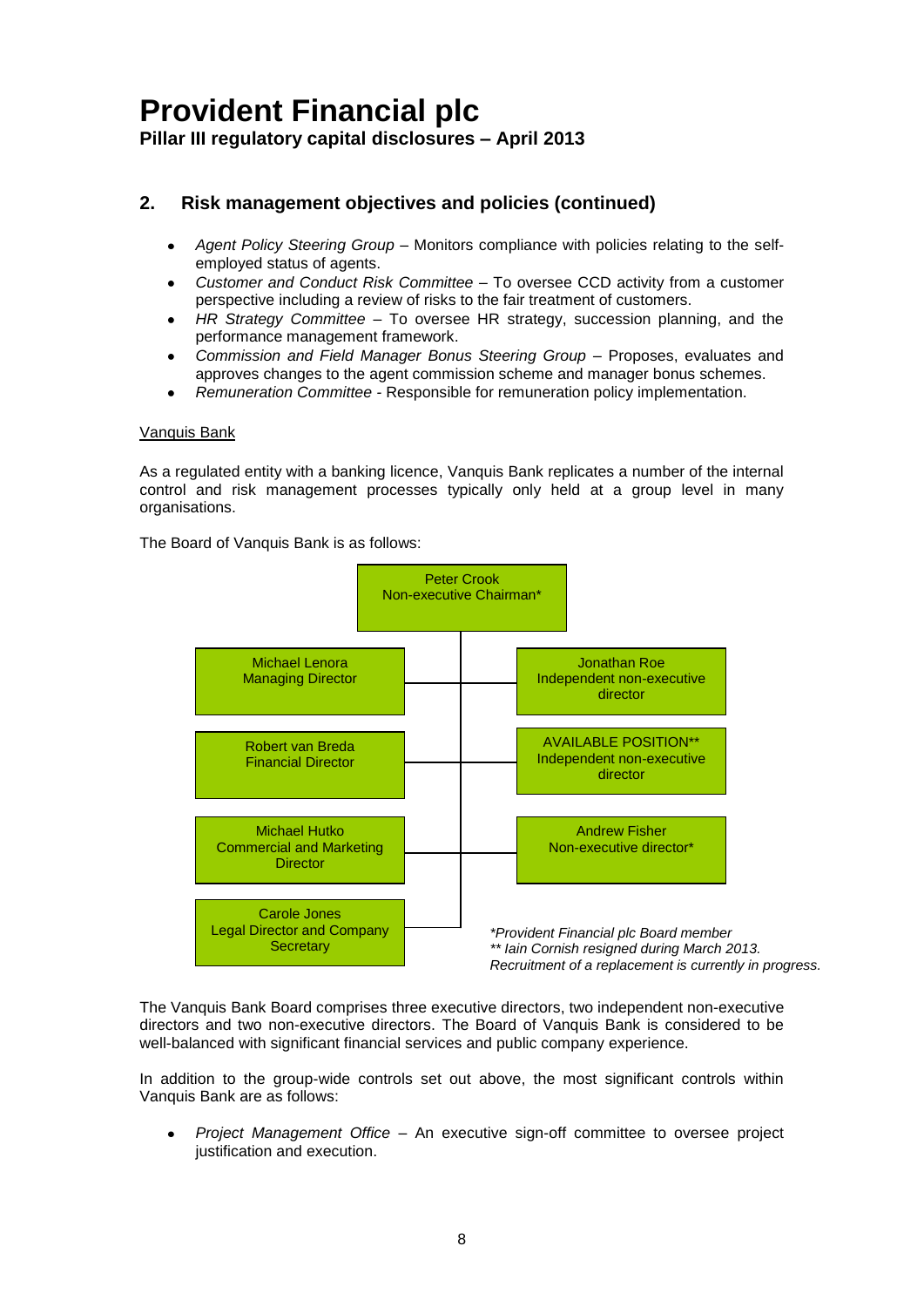### **2. Risk management objectives and policies (continued)**

- *Agent Policy Steering Group*  Monitors compliance with policies relating to the selfemployed status of agents.
- *Customer and Conduct Risk Committee*  To oversee CCD activity from a customer  $\bullet$ perspective including a review of risks to the fair treatment of customers.
- *HR Strategy Committee –* To oversee HR strategy, succession planning, and the performance management framework.
- *Commission and Field Manager Bonus Steering Group –* Proposes, evaluates and approves changes to the agent commission scheme and manager bonus schemes.
- *Remuneration Committee -* Responsible for remuneration policy implementation.

### Vanquis Bank

As a regulated entity with a banking licence, Vanquis Bank replicates a number of the internal control and risk management processes typically only held at a group level in many organisations.

The Board of Vanquis Bank is as follows:



The Vanquis Bank Board comprises three executive directors, two independent non-executive directors and two non-executive directors. The Board of Vanquis Bank is considered to be well-balanced with significant financial services and public company experience.

In addition to the group-wide controls set out above, the most significant controls within Vanquis Bank are as follows:

*Project Management Office* – An executive sign-off committee to oversee project justification and execution.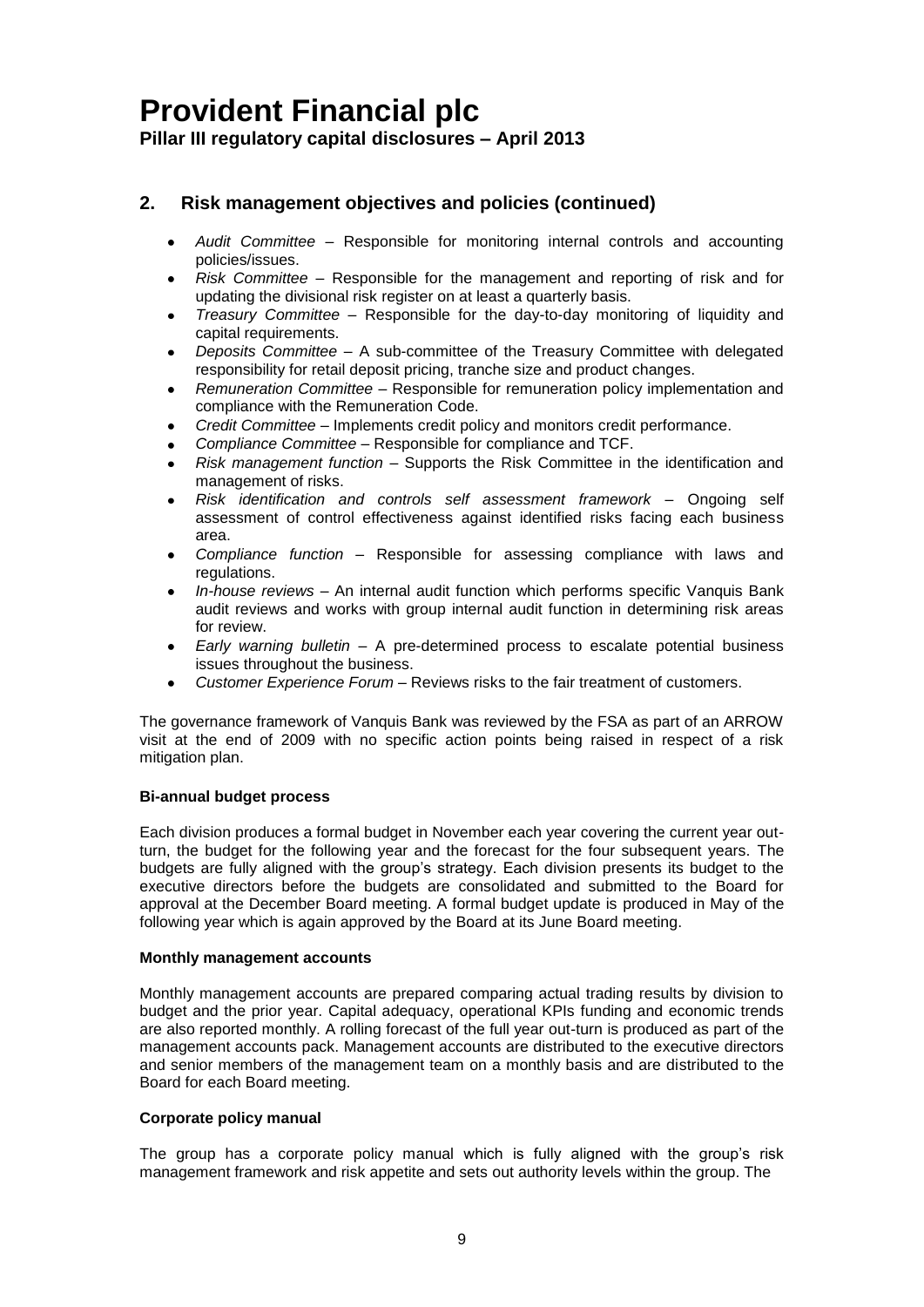**Pillar III regulatory capital disclosures – April 2013**

### **2. Risk management objectives and policies (continued)**

- *Audit Committee* Responsible for monitoring internal controls and accounting policies/issues.
- *Risk Committee* Responsible for the management and reporting of risk and for updating the divisional risk register on at least a quarterly basis.
- *Treasury Committee* Responsible for the day-to-day monitoring of liquidity and capital requirements.
- *Deposits Committee*  A sub-committee of the Treasury Committee with delegated responsibility for retail deposit pricing, tranche size and product changes.
- *Remuneration Committee*  Responsible for remuneration policy implementation and compliance with the Remuneration Code.
- *Credit Committee*  Implements credit policy and monitors credit performance.
- *Compliance Committee*  Responsible for compliance and TCF.
- *Risk management function*  Supports the Risk Committee in the identification and management of risks.
- *Risk identification and controls self assessment framework*  Ongoing self assessment of control effectiveness against identified risks facing each business area.
- *Compliance function* Responsible for assessing compliance with laws and regulations.
- *In-house reviews* An internal audit function which performs specific Vanquis Bank audit reviews and works with group internal audit function in determining risk areas for review.
- *Early warning bulletin* A pre-determined process to escalate potential business issues throughout the business.
- *Customer Experience Forum*  Reviews risks to the fair treatment of customers.

The governance framework of Vanquis Bank was reviewed by the FSA as part of an ARROW visit at the end of 2009 with no specific action points being raised in respect of a risk mitigation plan.

#### **Bi-annual budget process**

Each division produces a formal budget in November each year covering the current year outturn, the budget for the following year and the forecast for the four subsequent years. The budgets are fully aligned with the group's strategy. Each division presents its budget to the executive directors before the budgets are consolidated and submitted to the Board for approval at the December Board meeting. A formal budget update is produced in May of the following year which is again approved by the Board at its June Board meeting.

#### **Monthly management accounts**

Monthly management accounts are prepared comparing actual trading results by division to budget and the prior year. Capital adequacy, operational KPIs funding and economic trends are also reported monthly. A rolling forecast of the full year out-turn is produced as part of the management accounts pack. Management accounts are distributed to the executive directors and senior members of the management team on a monthly basis and are distributed to the Board for each Board meeting.

### **Corporate policy manual**

The group has a corporate policy manual which is fully aligned with the group's risk management framework and risk appetite and sets out authority levels within the group. The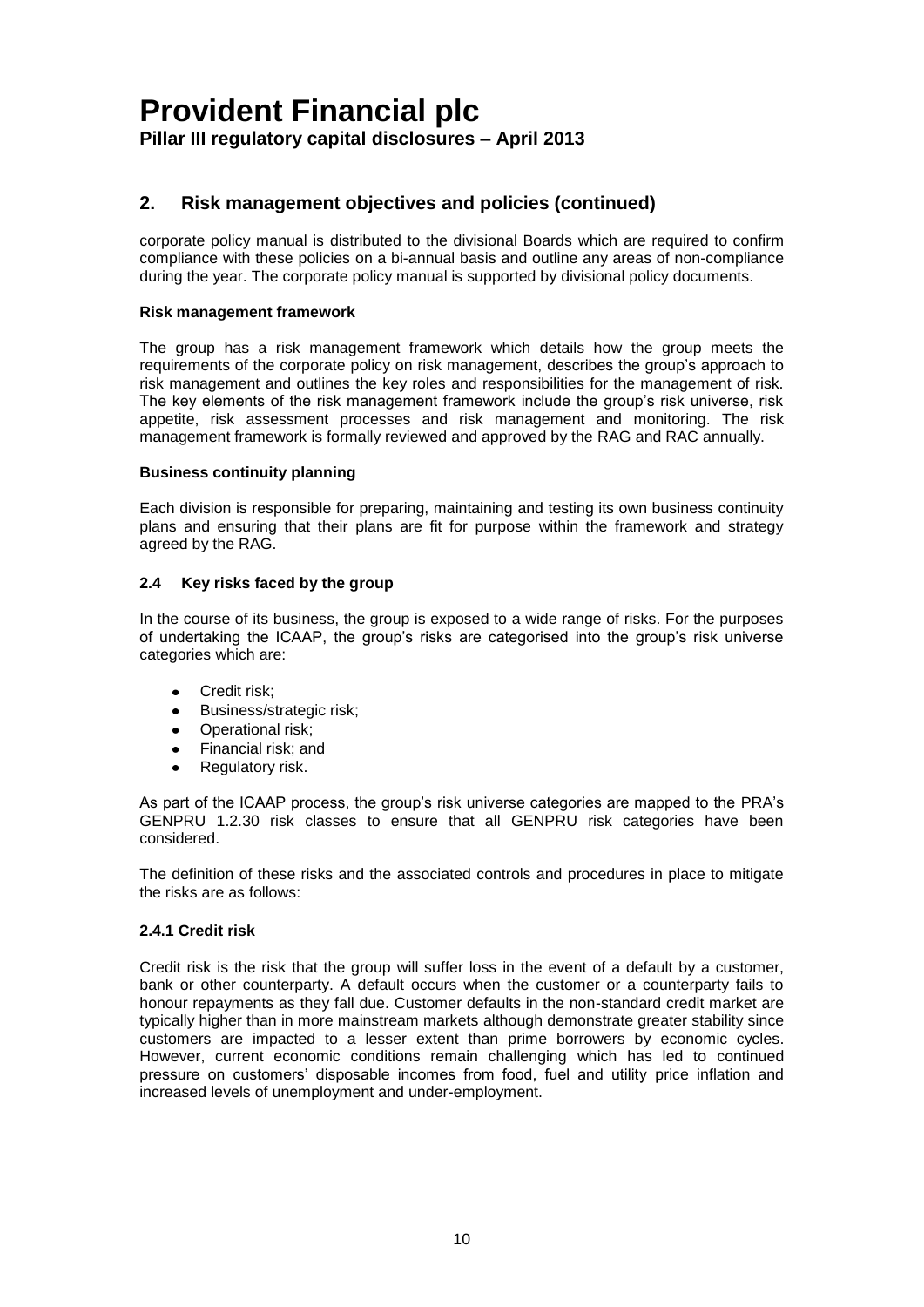### **2. Risk management objectives and policies (continued)**

corporate policy manual is distributed to the divisional Boards which are required to confirm compliance with these policies on a bi-annual basis and outline any areas of non-compliance during the year. The corporate policy manual is supported by divisional policy documents.

### **Risk management framework**

The group has a risk management framework which details how the group meets the requirements of the corporate policy on risk management, describes the group's approach to risk management and outlines the key roles and responsibilities for the management of risk. The key elements of the risk management framework include the group's risk universe, risk appetite, risk assessment processes and risk management and monitoring. The risk management framework is formally reviewed and approved by the RAG and RAC annually.

### **Business continuity planning**

Each division is responsible for preparing, maintaining and testing its own business continuity plans and ensuring that their plans are fit for purpose within the framework and strategy agreed by the RAG.

### **2.4 Key risks faced by the group**

In the course of its business, the group is exposed to a wide range of risks. For the purposes of undertaking the ICAAP, the group's risks are categorised into the group's risk universe categories which are:

- $\bullet$ Credit risk;
- $\bullet$ Business/strategic risk;
- Operational risk:
- $\bullet$ Financial risk; and
- $\bullet$ Regulatory risk.

As part of the ICAAP process, the group's risk universe categories are mapped to the PRA's GENPRU 1.2.30 risk classes to ensure that all GENPRU risk categories have been considered.

The definition of these risks and the associated controls and procedures in place to mitigate the risks are as follows:

### **2.4.1 Credit risk**

Credit risk is the risk that the group will suffer loss in the event of a default by a customer, bank or other counterparty. A default occurs when the customer or a counterparty fails to honour repayments as they fall due. Customer defaults in the non-standard credit market are typically higher than in more mainstream markets although demonstrate greater stability since customers are impacted to a lesser extent than prime borrowers by economic cycles. However, current economic conditions remain challenging which has led to continued pressure on customers' disposable incomes from food, fuel and utility price inflation and increased levels of unemployment and under-employment.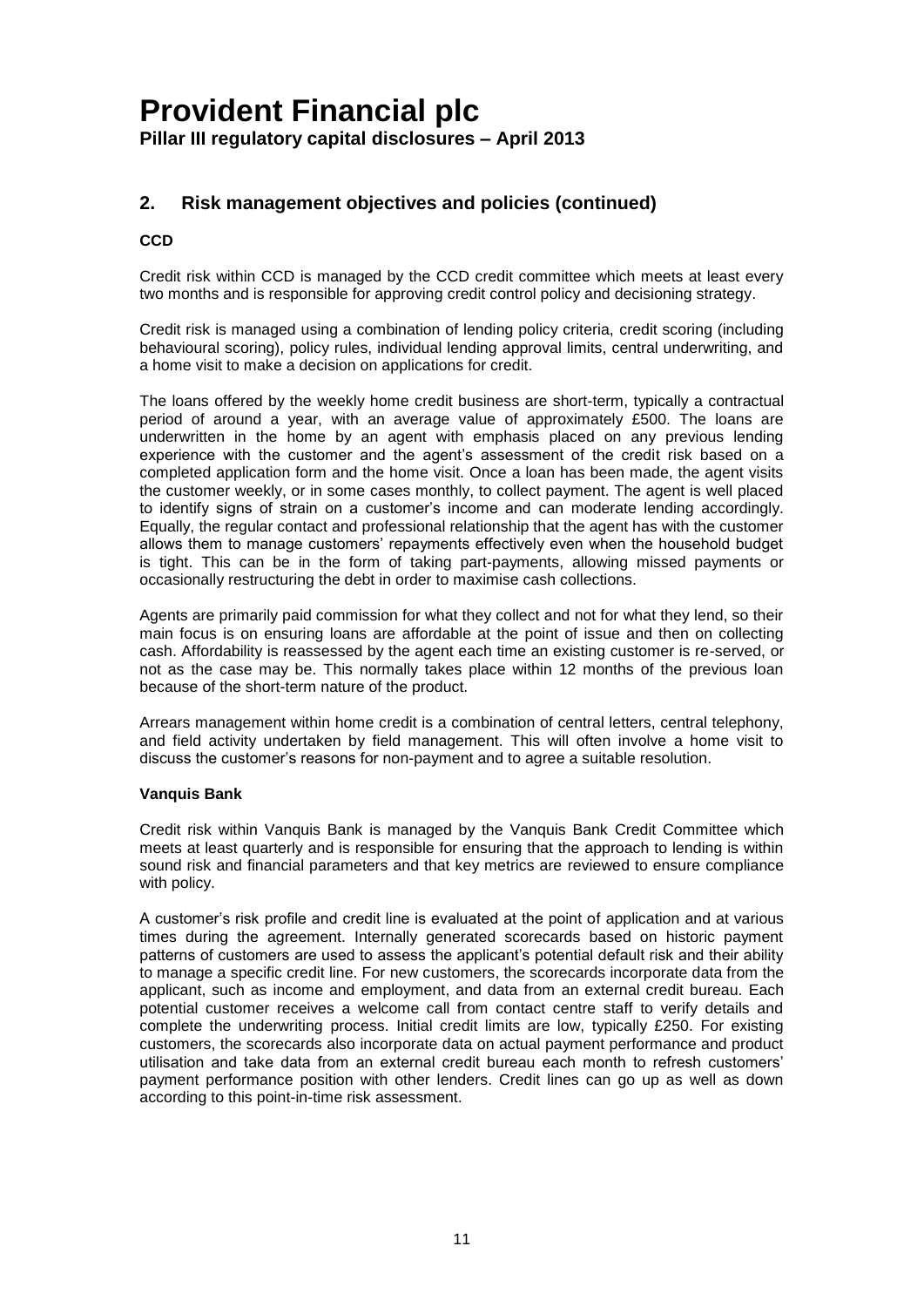### **2. Risk management objectives and policies (continued)**

### **CCD**

Credit risk within CCD is managed by the CCD credit committee which meets at least every two months and is responsible for approving credit control policy and decisioning strategy.

Credit risk is managed using a combination of lending policy criteria, credit scoring (including behavioural scoring), policy rules, individual lending approval limits, central underwriting, and a home visit to make a decision on applications for credit.

The loans offered by the weekly home credit business are short-term, typically a contractual period of around a year, with an average value of approximately £500. The loans are underwritten in the home by an agent with emphasis placed on any previous lending experience with the customer and the agent's assessment of the credit risk based on a completed application form and the home visit. Once a loan has been made, the agent visits the customer weekly, or in some cases monthly, to collect payment. The agent is well placed to identify signs of strain on a customer's income and can moderate lending accordingly. Equally, the regular contact and professional relationship that the agent has with the customer allows them to manage customers' repayments effectively even when the household budget is tight. This can be in the form of taking part-payments, allowing missed payments or occasionally restructuring the debt in order to maximise cash collections.

Agents are primarily paid commission for what they collect and not for what they lend, so their main focus is on ensuring loans are affordable at the point of issue and then on collecting cash. Affordability is reassessed by the agent each time an existing customer is re-served, or not as the case may be. This normally takes place within 12 months of the previous loan because of the short-term nature of the product.

Arrears management within home credit is a combination of central letters, central telephony, and field activity undertaken by field management. This will often involve a home visit to discuss the customer's reasons for non-payment and to agree a suitable resolution.

#### **Vanquis Bank**

Credit risk within Vanquis Bank is managed by the Vanquis Bank Credit Committee which meets at least quarterly and is responsible for ensuring that the approach to lending is within sound risk and financial parameters and that key metrics are reviewed to ensure compliance with policy.

A customer's risk profile and credit line is evaluated at the point of application and at various times during the agreement. Internally generated scorecards based on historic payment patterns of customers are used to assess the applicant's potential default risk and their ability to manage a specific credit line. For new customers, the scorecards incorporate data from the applicant, such as income and employment, and data from an external credit bureau. Each potential customer receives a welcome call from contact centre staff to verify details and complete the underwriting process. Initial credit limits are low, typically £250. For existing customers, the scorecards also incorporate data on actual payment performance and product utilisation and take data from an external credit bureau each month to refresh customers' payment performance position with other lenders. Credit lines can go up as well as down according to this point-in-time risk assessment.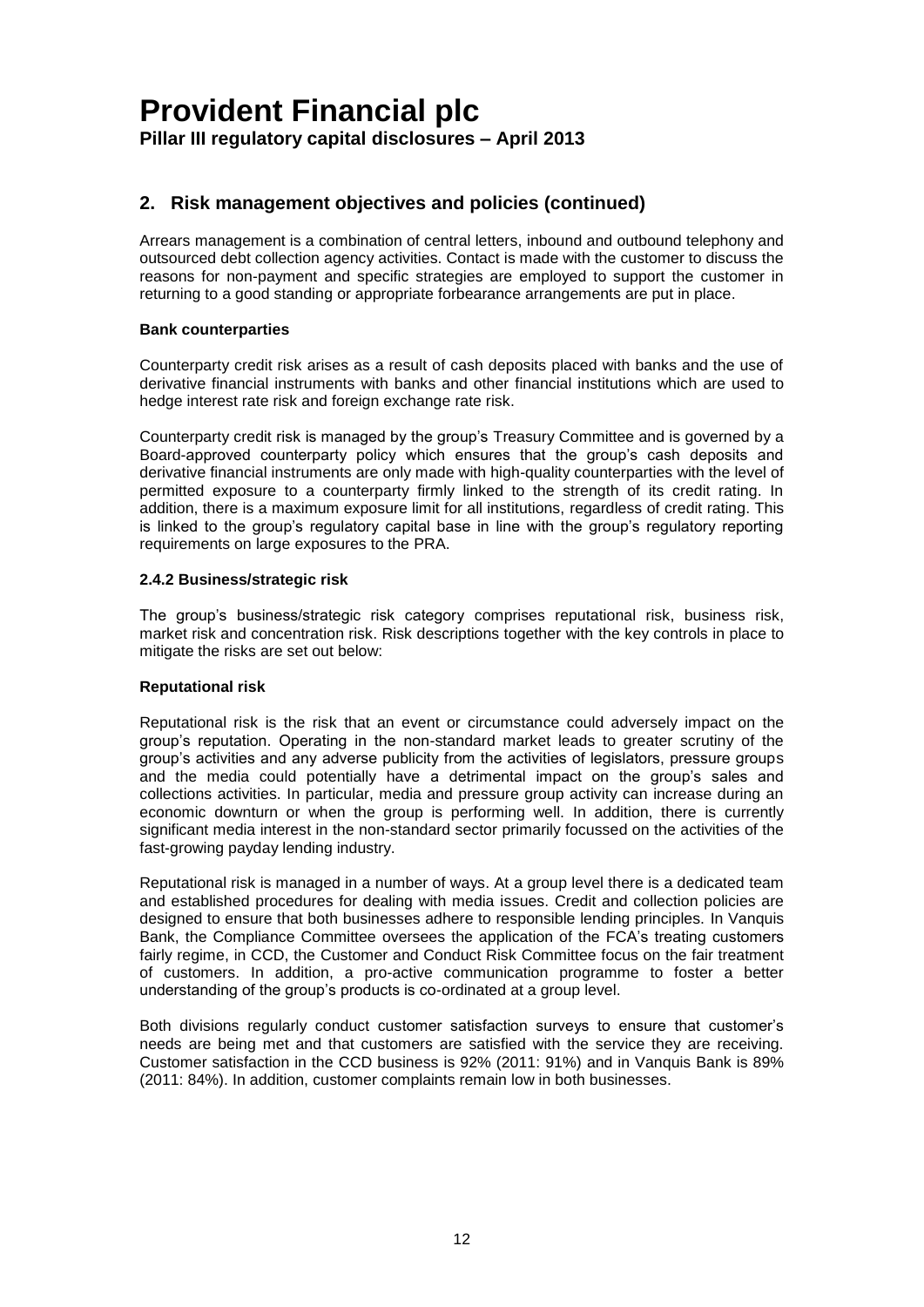### **2. Risk management objectives and policies (continued)**

Arrears management is a combination of central letters, inbound and outbound telephony and outsourced debt collection agency activities. Contact is made with the customer to discuss the reasons for non-payment and specific strategies are employed to support the customer in returning to a good standing or appropriate forbearance arrangements are put in place.

### **Bank counterparties**

Counterparty credit risk arises as a result of cash deposits placed with banks and the use of derivative financial instruments with banks and other financial institutions which are used to hedge interest rate risk and foreign exchange rate risk.

Counterparty credit risk is managed by the group's Treasury Committee and is governed by a Board-approved counterparty policy which ensures that the group's cash deposits and derivative financial instruments are only made with high-quality counterparties with the level of permitted exposure to a counterparty firmly linked to the strength of its credit rating. In addition, there is a maximum exposure limit for all institutions, regardless of credit rating. This is linked to the group's regulatory capital base in line with the group's regulatory reporting requirements on large exposures to the PRA.

### **2.4.2 Business/strategic risk**

The group's business/strategic risk category comprises reputational risk, business risk, market risk and concentration risk. Risk descriptions together with the key controls in place to mitigate the risks are set out below:

#### **Reputational risk**

Reputational risk is the risk that an event or circumstance could adversely impact on the group's reputation. Operating in the non-standard market leads to greater scrutiny of the group's activities and any adverse publicity from the activities of legislators, pressure groups and the media could potentially have a detrimental impact on the group's sales and collections activities. In particular, media and pressure group activity can increase during an economic downturn or when the group is performing well. In addition, there is currently significant media interest in the non-standard sector primarily focussed on the activities of the fast-growing payday lending industry.

Reputational risk is managed in a number of ways. At a group level there is a dedicated team and established procedures for dealing with media issues. Credit and collection policies are designed to ensure that both businesses adhere to responsible lending principles. In Vanquis Bank, the Compliance Committee oversees the application of the FCA's treating customers fairly regime, in CCD, the Customer and Conduct Risk Committee focus on the fair treatment of customers. In addition, a pro-active communication programme to foster a better understanding of the group's products is co-ordinated at a group level.

Both divisions regularly conduct customer satisfaction surveys to ensure that customer's needs are being met and that customers are satisfied with the service they are receiving. Customer satisfaction in the CCD business is 92% (2011: 91%) and in Vanquis Bank is 89% (2011: 84%). In addition, customer complaints remain low in both businesses.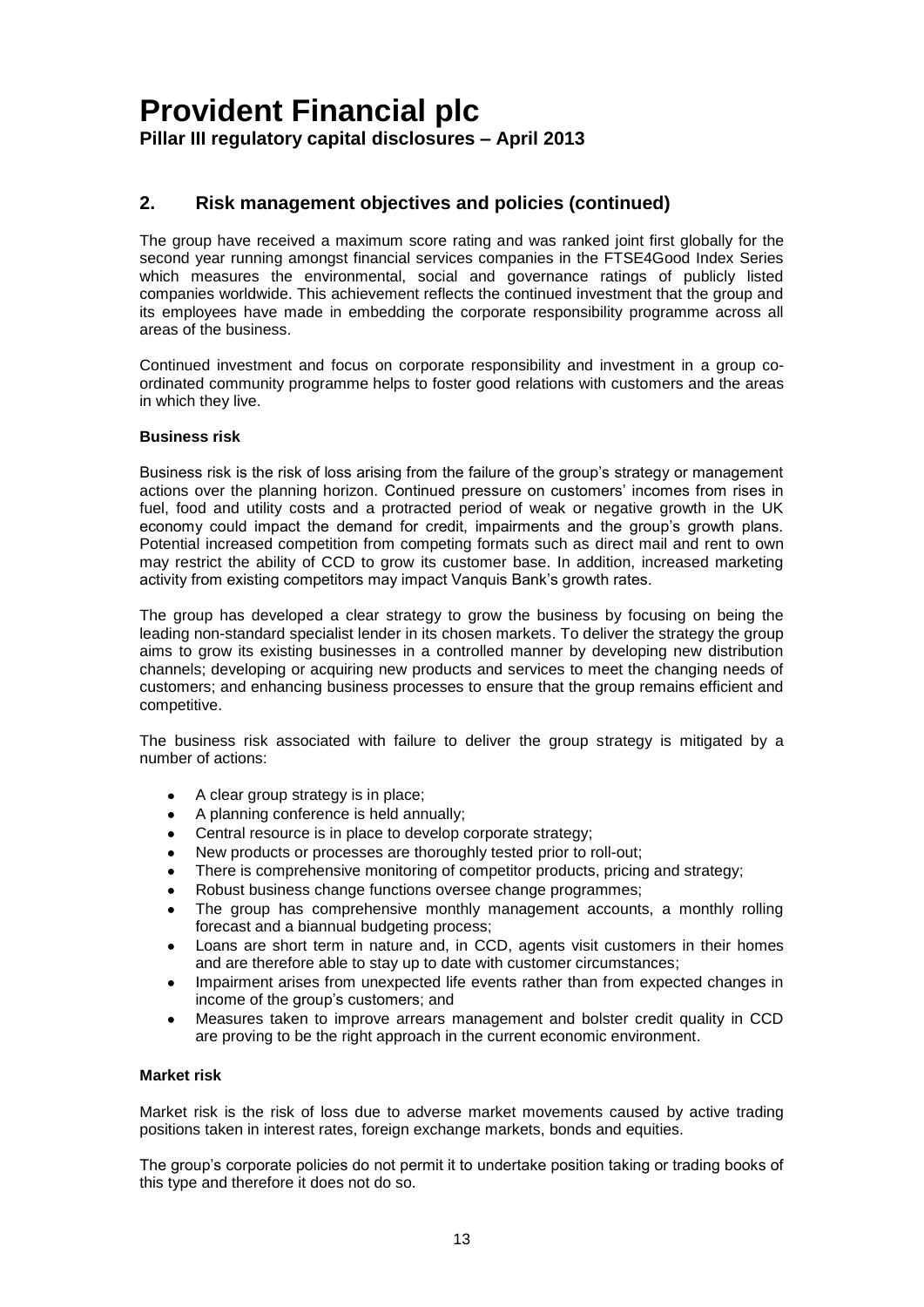### **2. Risk management objectives and policies (continued)**

The group have received a maximum score rating and was ranked joint first globally for the second year running amongst financial services companies in the FTSE4Good Index Series which measures the environmental, social and governance ratings of publicly listed companies worldwide. This achievement reflects the continued investment that the group and its employees have made in embedding the corporate responsibility programme across all areas of the business.

Continued investment and focus on corporate responsibility and investment in a group coordinated community programme helps to foster good relations with customers and the areas in which they live.

### **Business risk**

Business risk is the risk of loss arising from the failure of the group's strategy or management actions over the planning horizon. Continued pressure on customers' incomes from rises in fuel, food and utility costs and a protracted period of weak or negative growth in the UK economy could impact the demand for credit, impairments and the group's growth plans. Potential increased competition from competing formats such as direct mail and rent to own may restrict the ability of CCD to grow its customer base. In addition, increased marketing activity from existing competitors may impact Vanquis Bank's growth rates.

The group has developed a clear strategy to grow the business by focusing on being the leading non-standard specialist lender in its chosen markets. To deliver the strategy the group aims to grow its existing businesses in a controlled manner by developing new distribution channels; developing or acquiring new products and services to meet the changing needs of customers; and enhancing business processes to ensure that the group remains efficient and competitive.

The business risk associated with failure to deliver the group strategy is mitigated by a number of actions:

- A clear group strategy is in place;
- A planning conference is held annually;
- Central resource is in place to develop corporate strategy;
- New products or processes are thoroughly tested prior to roll-out;
- There is comprehensive monitoring of competitor products, pricing and strategy;
- Robust business change functions oversee change programmes;
- The group has comprehensive monthly management accounts, a monthly rolling forecast and a biannual budgeting process;
- Loans are short term in nature and, in CCD, agents visit customers in their homes and are therefore able to stay up to date with customer circumstances;
- Impairment arises from unexpected life events rather than from expected changes in income of the group's customers; and
- Measures taken to improve arrears management and bolster credit quality in CCD are proving to be the right approach in the current economic environment.

#### **Market risk**

Market risk is the risk of loss due to adverse market movements caused by active trading positions taken in interest rates, foreign exchange markets, bonds and equities.

The group's corporate policies do not permit it to undertake position taking or trading books of this type and therefore it does not do so.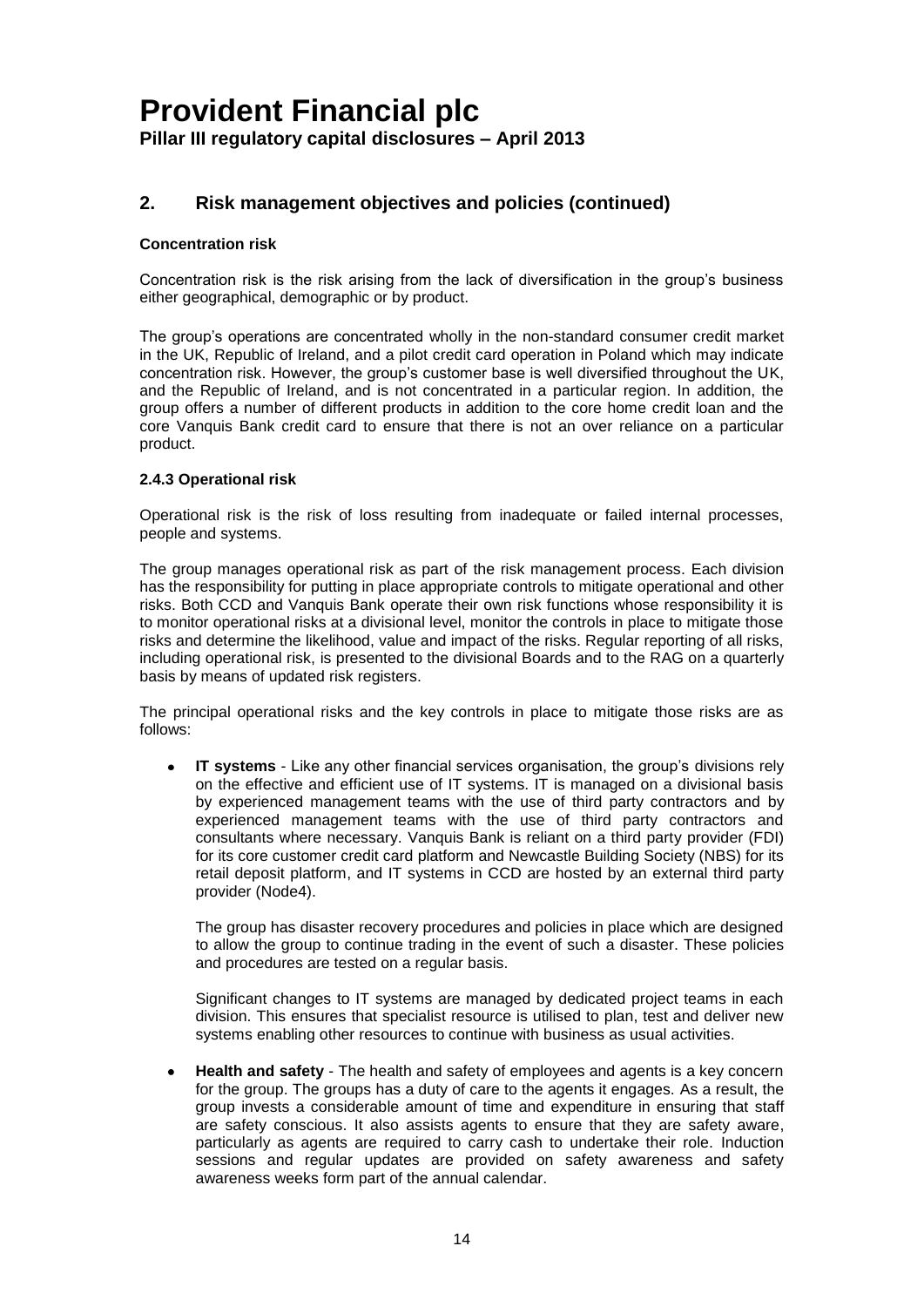### **2. Risk management objectives and policies (continued)**

### **Concentration risk**

Concentration risk is the risk arising from the lack of diversification in the group's business either geographical, demographic or by product.

The group's operations are concentrated wholly in the non-standard consumer credit market in the UK, Republic of Ireland, and a pilot credit card operation in Poland which may indicate concentration risk. However, the group's customer base is well diversified throughout the UK, and the Republic of Ireland, and is not concentrated in a particular region. In addition, the group offers a number of different products in addition to the core home credit loan and the core Vanquis Bank credit card to ensure that there is not an over reliance on a particular product.

### **2.4.3 Operational risk**

Operational risk is the risk of loss resulting from inadequate or failed internal processes, people and systems.

The group manages operational risk as part of the risk management process. Each division has the responsibility for putting in place appropriate controls to mitigate operational and other risks. Both CCD and Vanquis Bank operate their own risk functions whose responsibility it is to monitor operational risks at a divisional level, monitor the controls in place to mitigate those risks and determine the likelihood, value and impact of the risks. Regular reporting of all risks, including operational risk, is presented to the divisional Boards and to the RAG on a quarterly basis by means of updated risk registers.

The principal operational risks and the key controls in place to mitigate those risks are as follows:

**IT systems** - Like any other financial services organisation, the group's divisions rely on the effective and efficient use of IT systems. IT is managed on a divisional basis by experienced management teams with the use of third party contractors and by experienced management teams with the use of third party contractors and consultants where necessary. Vanquis Bank is reliant on a third party provider (FDI) for its core customer credit card platform and Newcastle Building Society (NBS) for its retail deposit platform, and IT systems in CCD are hosted by an external third party provider (Node4).

The group has disaster recovery procedures and policies in place which are designed to allow the group to continue trading in the event of such a disaster. These policies and procedures are tested on a regular basis.

Significant changes to IT systems are managed by dedicated project teams in each division. This ensures that specialist resource is utilised to plan, test and deliver new systems enabling other resources to continue with business as usual activities.

**Health and safety** - The health and safety of employees and agents is a key concern for the group. The groups has a duty of care to the agents it engages. As a result, the group invests a considerable amount of time and expenditure in ensuring that staff are safety conscious. It also assists agents to ensure that they are safety aware, particularly as agents are required to carry cash to undertake their role. Induction sessions and regular updates are provided on safety awareness and safety awareness weeks form part of the annual calendar.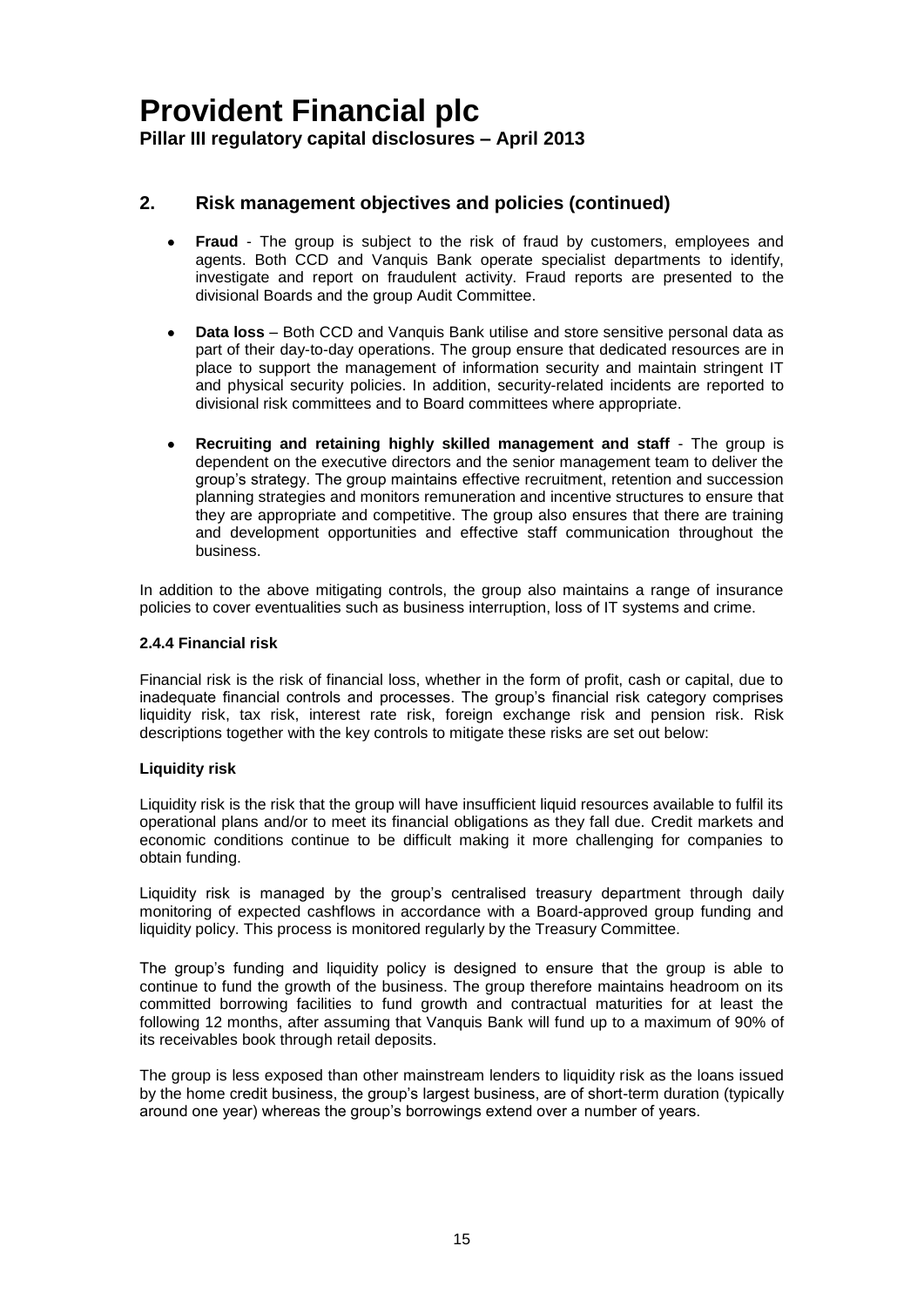### **2. Risk management objectives and policies (continued)**

- **Fraud**  The group is subject to the risk of fraud by customers, employees and  $\bullet$ agents. Both CCD and Vanquis Bank operate specialist departments to identify, investigate and report on fraudulent activity. Fraud reports are presented to the divisional Boards and the group Audit Committee.
- **Data loss** Both CCD and Vanquis Bank utilise and store sensitive personal data as part of their day-to-day operations. The group ensure that dedicated resources are in place to support the management of information security and maintain stringent IT and physical security policies. In addition, security-related incidents are reported to divisional risk committees and to Board committees where appropriate.
- **Recruiting and retaining highly skilled management and staff** The group is dependent on the executive directors and the senior management team to deliver the group's strategy. The group maintains effective recruitment, retention and succession planning strategies and monitors remuneration and incentive structures to ensure that they are appropriate and competitive. The group also ensures that there are training and development opportunities and effective staff communication throughout the business.

In addition to the above mitigating controls, the group also maintains a range of insurance policies to cover eventualities such as business interruption, loss of IT systems and crime.

### **2.4.4 Financial risk**

Financial risk is the risk of financial loss, whether in the form of profit, cash or capital, due to inadequate financial controls and processes. The group's financial risk category comprises liquidity risk, tax risk, interest rate risk, foreign exchange risk and pension risk. Risk descriptions together with the key controls to mitigate these risks are set out below:

### **Liquidity risk**

Liquidity risk is the risk that the group will have insufficient liquid resources available to fulfil its operational plans and/or to meet its financial obligations as they fall due. Credit markets and economic conditions continue to be difficult making it more challenging for companies to obtain funding.

Liquidity risk is managed by the group's centralised treasury department through daily monitoring of expected cashflows in accordance with a Board-approved group funding and liquidity policy. This process is monitored regularly by the Treasury Committee.

The group's funding and liquidity policy is designed to ensure that the group is able to continue to fund the growth of the business. The group therefore maintains headroom on its committed borrowing facilities to fund growth and contractual maturities for at least the following 12 months, after assuming that Vanquis Bank will fund up to a maximum of 90% of its receivables book through retail deposits.

The group is less exposed than other mainstream lenders to liquidity risk as the loans issued by the home credit business, the group's largest business, are of short-term duration (typically around one year) whereas the group's borrowings extend over a number of years.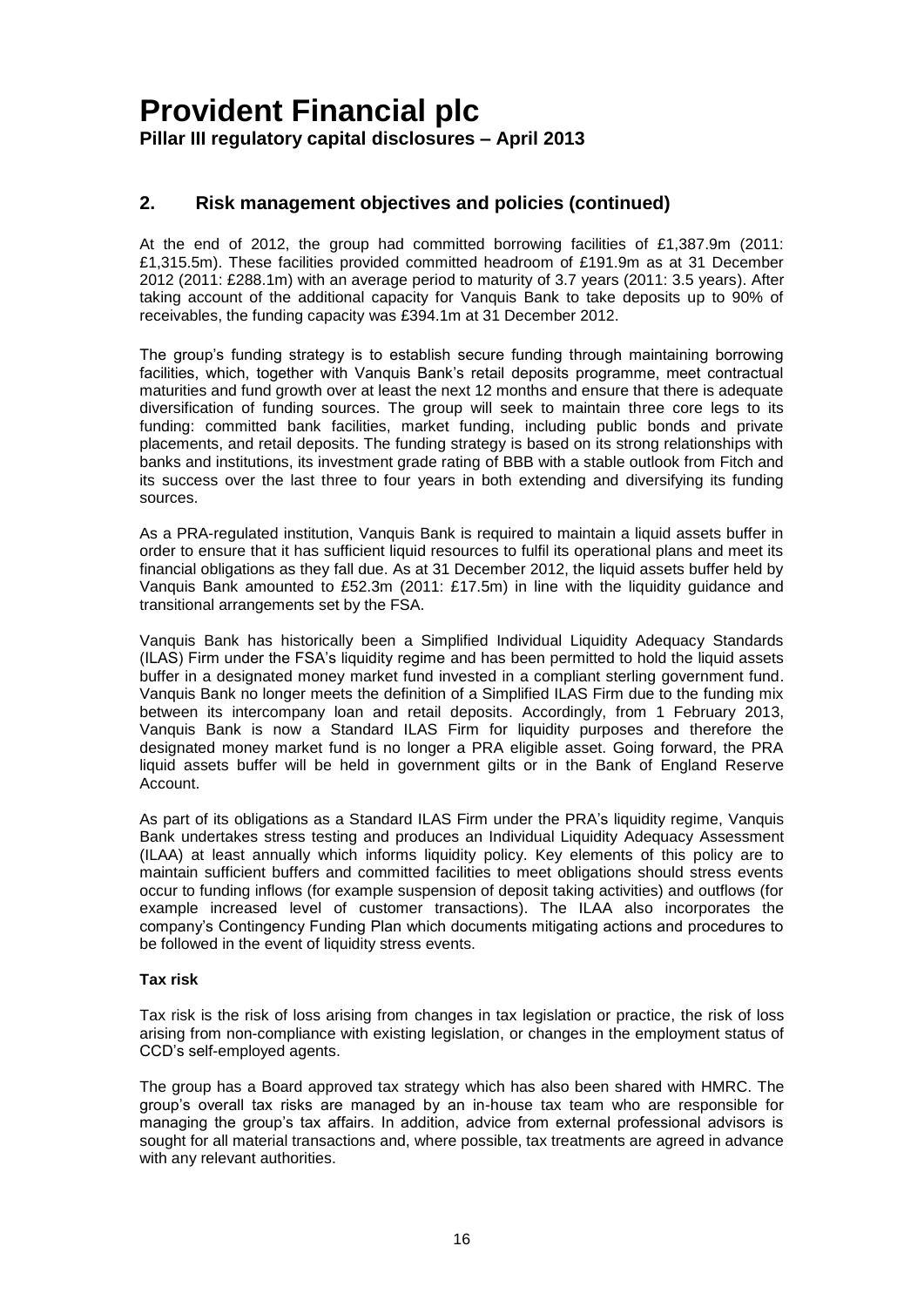### **2. Risk management objectives and policies (continued)**

At the end of 2012, the group had committed borrowing facilities of £1,387.9m (2011: £1,315.5m). These facilities provided committed headroom of £191.9m as at 31 December 2012 (2011: £288.1m) with an average period to maturity of 3.7 years (2011: 3.5 years). After taking account of the additional capacity for Vanquis Bank to take deposits up to 90% of receivables, the funding capacity was £394.1m at 31 December 2012.

The group's funding strategy is to establish secure funding through maintaining borrowing facilities, which, together with Vanquis Bank's retail deposits programme, meet contractual maturities and fund growth over at least the next 12 months and ensure that there is adequate diversification of funding sources. The group will seek to maintain three core legs to its funding: committed bank facilities, market funding, including public bonds and private placements, and retail deposits. The funding strategy is based on its strong relationships with banks and institutions, its investment grade rating of BBB with a stable outlook from Fitch and its success over the last three to four years in both extending and diversifying its funding sources.

As a PRA-regulated institution, Vanquis Bank is required to maintain a liquid assets buffer in order to ensure that it has sufficient liquid resources to fulfil its operational plans and meet its financial obligations as they fall due. As at 31 December 2012, the liquid assets buffer held by Vanquis Bank amounted to £52.3m (2011: £17.5m) in line with the liquidity guidance and transitional arrangements set by the FSA.

Vanquis Bank has historically been a Simplified Individual Liquidity Adequacy Standards (ILAS) Firm under the FSA's liquidity regime and has been permitted to hold the liquid assets buffer in a designated money market fund invested in a compliant sterling government fund. Vanquis Bank no longer meets the definition of a Simplified ILAS Firm due to the funding mix between its intercompany loan and retail deposits. Accordingly, from 1 February 2013, Vanquis Bank is now a Standard ILAS Firm for liquidity purposes and therefore the designated money market fund is no longer a PRA eligible asset. Going forward, the PRA liquid assets buffer will be held in government gilts or in the Bank of England Reserve Account.

As part of its obligations as a Standard ILAS Firm under the PRA's liquidity regime, Vanquis Bank undertakes stress testing and produces an Individual Liquidity Adequacy Assessment (ILAA) at least annually which informs liquidity policy. Key elements of this policy are to maintain sufficient buffers and committed facilities to meet obligations should stress events occur to funding inflows (for example suspension of deposit taking activities) and outflows (for example increased level of customer transactions). The ILAA also incorporates the company's Contingency Funding Plan which documents mitigating actions and procedures to be followed in the event of liquidity stress events.

### **Tax risk**

Tax risk is the risk of loss arising from changes in tax legislation or practice, the risk of loss arising from non-compliance with existing legislation, or changes in the employment status of CCD's self-employed agents.

The group has a Board approved tax strategy which has also been shared with HMRC. The group's overall tax risks are managed by an in-house tax team who are responsible for managing the group's tax affairs. In addition, advice from external professional advisors is sought for all material transactions and, where possible, tax treatments are agreed in advance with any relevant authorities.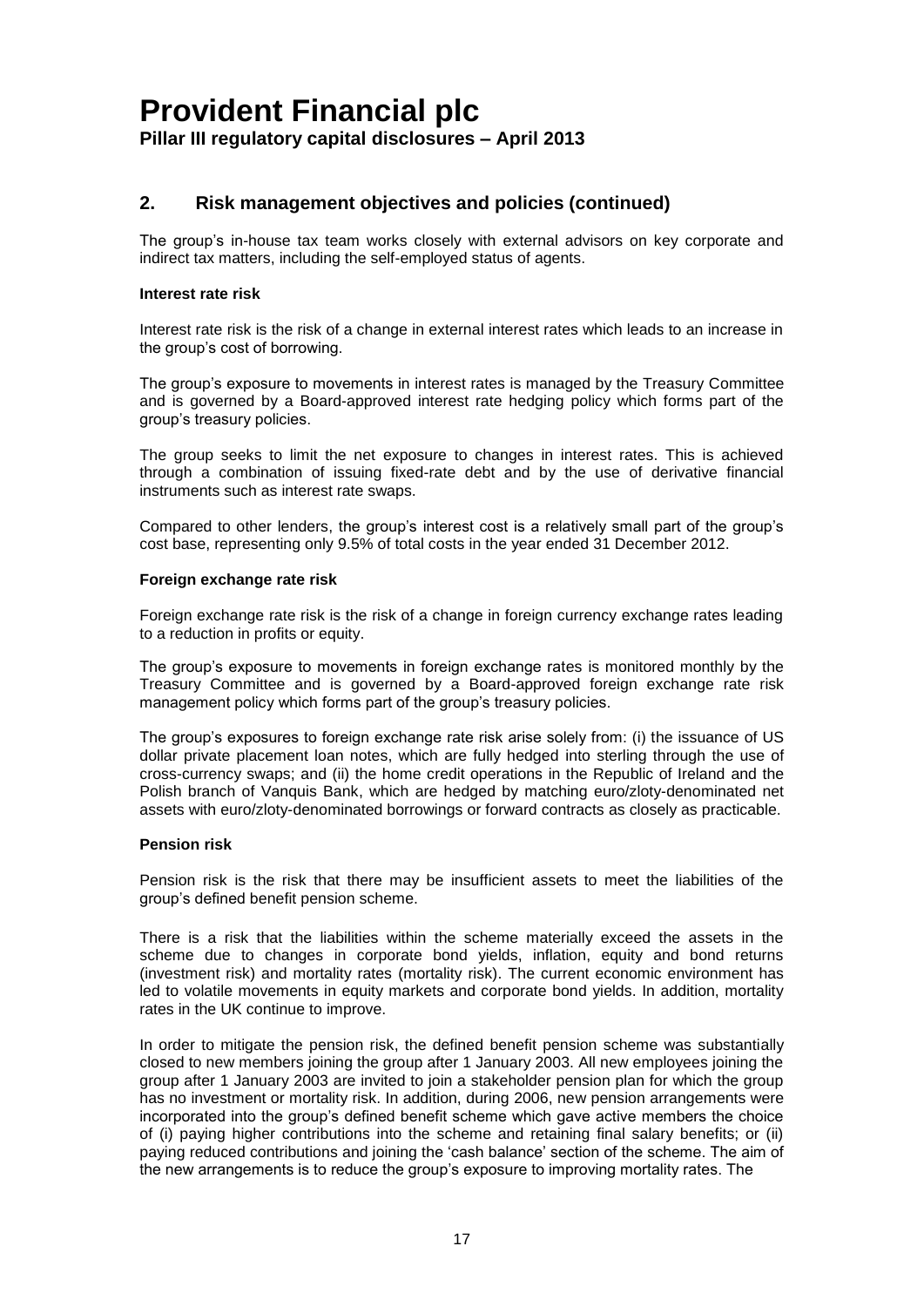### **2. Risk management objectives and policies (continued)**

The group's in-house tax team works closely with external advisors on key corporate and indirect tax matters, including the self-employed status of agents.

### **Interest rate risk**

Interest rate risk is the risk of a change in external interest rates which leads to an increase in the group's cost of borrowing.

The group's exposure to movements in interest rates is managed by the Treasury Committee and is governed by a Board-approved interest rate hedging policy which forms part of the group's treasury policies.

The group seeks to limit the net exposure to changes in interest rates. This is achieved through a combination of issuing fixed-rate debt and by the use of derivative financial instruments such as interest rate swaps.

Compared to other lenders, the group's interest cost is a relatively small part of the group's cost base, representing only 9.5% of total costs in the year ended 31 December 2012.

#### **Foreign exchange rate risk**

Foreign exchange rate risk is the risk of a change in foreign currency exchange rates leading to a reduction in profits or equity.

The group's exposure to movements in foreign exchange rates is monitored monthly by the Treasury Committee and is governed by a Board-approved foreign exchange rate risk management policy which forms part of the group's treasury policies.

The group's exposures to foreign exchange rate risk arise solely from: (i) the issuance of US dollar private placement loan notes, which are fully hedged into sterling through the use of cross-currency swaps; and (ii) the home credit operations in the Republic of Ireland and the Polish branch of Vanquis Bank, which are hedged by matching euro/zloty-denominated net assets with euro/zloty-denominated borrowings or forward contracts as closely as practicable.

#### **Pension risk**

Pension risk is the risk that there may be insufficient assets to meet the liabilities of the group's defined benefit pension scheme.

There is a risk that the liabilities within the scheme materially exceed the assets in the scheme due to changes in corporate bond yields, inflation, equity and bond returns (investment risk) and mortality rates (mortality risk). The current economic environment has led to volatile movements in equity markets and corporate bond yields. In addition, mortality rates in the UK continue to improve.

In order to mitigate the pension risk, the defined benefit pension scheme was substantially closed to new members joining the group after 1 January 2003. All new employees joining the group after 1 January 2003 are invited to join a stakeholder pension plan for which the group has no investment or mortality risk. In addition, during 2006, new pension arrangements were incorporated into the group's defined benefit scheme which gave active members the choice of (i) paying higher contributions into the scheme and retaining final salary benefits; or (ii) paying reduced contributions and joining the 'cash balance' section of the scheme. The aim of the new arrangements is to reduce the group's exposure to improving mortality rates. The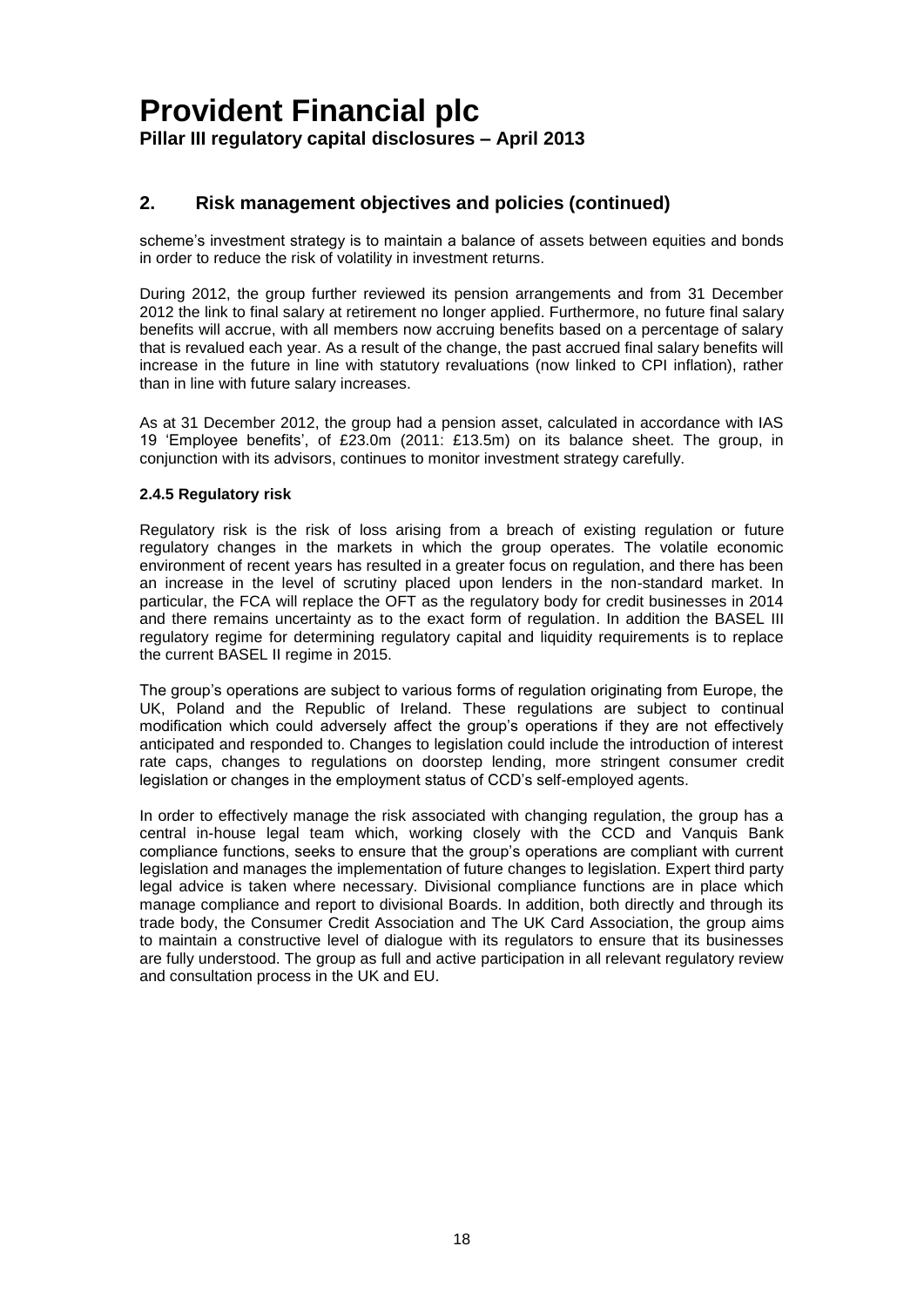### **2. Risk management objectives and policies (continued)**

scheme's investment strategy is to maintain a balance of assets between equities and bonds in order to reduce the risk of volatility in investment returns.

During 2012, the group further reviewed its pension arrangements and from 31 December 2012 the link to final salary at retirement no longer applied. Furthermore, no future final salary benefits will accrue, with all members now accruing benefits based on a percentage of salary that is revalued each year. As a result of the change, the past accrued final salary benefits will increase in the future in line with statutory revaluations (now linked to CPI inflation), rather than in line with future salary increases.

As at 31 December 2012, the group had a pension asset, calculated in accordance with IAS 19 'Employee benefits', of £23.0m (2011: £13.5m) on its balance sheet. The group, in conjunction with its advisors, continues to monitor investment strategy carefully.

### **2.4.5 Regulatory risk**

Regulatory risk is the risk of loss arising from a breach of existing regulation or future regulatory changes in the markets in which the group operates. The volatile economic environment of recent years has resulted in a greater focus on regulation, and there has been an increase in the level of scrutiny placed upon lenders in the non-standard market. In particular, the FCA will replace the OFT as the regulatory body for credit businesses in 2014 and there remains uncertainty as to the exact form of regulation. In addition the BASEL III regulatory regime for determining regulatory capital and liquidity requirements is to replace the current BASEL II regime in 2015.

The group's operations are subject to various forms of regulation originating from Europe, the UK, Poland and the Republic of Ireland. These regulations are subject to continual modification which could adversely affect the group's operations if they are not effectively anticipated and responded to. Changes to legislation could include the introduction of interest rate caps, changes to regulations on doorstep lending, more stringent consumer credit legislation or changes in the employment status of CCD's self-employed agents.

In order to effectively manage the risk associated with changing regulation, the group has a central in-house legal team which, working closely with the CCD and Vanquis Bank compliance functions, seeks to ensure that the group's operations are compliant with current legislation and manages the implementation of future changes to legislation. Expert third party legal advice is taken where necessary. Divisional compliance functions are in place which manage compliance and report to divisional Boards. In addition, both directly and through its trade body, the Consumer Credit Association and The UK Card Association, the group aims to maintain a constructive level of dialogue with its regulators to ensure that its businesses are fully understood. The group as full and active participation in all relevant regulatory review and consultation process in the UK and EU.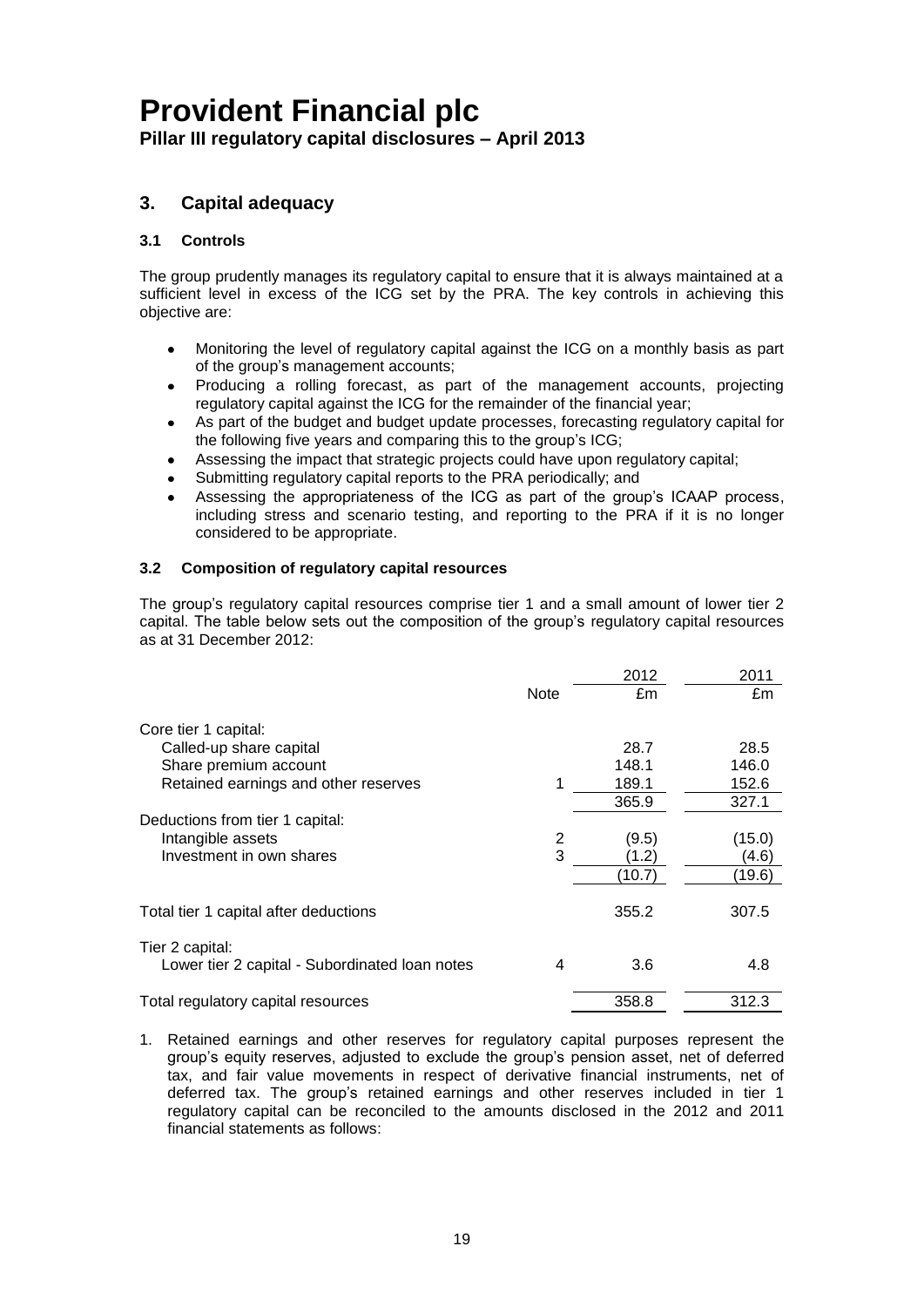**Pillar III regulatory capital disclosures – April 2013**

### **3. Capital adequacy**

### **3.1 Controls**

The group prudently manages its regulatory capital to ensure that it is always maintained at a sufficient level in excess of the ICG set by the PRA. The key controls in achieving this objective are:

- Monitoring the level of regulatory capital against the ICG on a monthly basis as part of the group's management accounts;
- Producing a rolling forecast, as part of the management accounts, projecting  $\bullet$ regulatory capital against the ICG for the remainder of the financial year;
- As part of the budget and budget update processes, forecasting regulatory capital for the following five years and comparing this to the group's ICG;
- Assessing the impact that strategic projects could have upon regulatory capital;
- Submitting regulatory capital reports to the PRA periodically; and
- Assessing the appropriateness of the ICG as part of the group's ICAAP process, including stress and scenario testing, and reporting to the PRA if it is no longer considered to be appropriate.

### **3.2 Composition of regulatory capital resources**

The group's regulatory capital resources comprise tier 1 and a small amount of lower tier 2 capital. The table below sets out the composition of the group's regulatory capital resources as at 31 December 2012:

|                                                |             | 2012   | 2011   |
|------------------------------------------------|-------------|--------|--------|
|                                                | <b>Note</b> | £m     | £m     |
| Core tier 1 capital:                           |             |        |        |
| Called-up share capital                        |             | 28.7   | 28.5   |
| Share premium account                          |             | 148.1  | 146.0  |
| Retained earnings and other reserves           |             | 189.1  | 152.6  |
|                                                |             | 365.9  | 327.1  |
| Deductions from tier 1 capital:                |             |        |        |
| Intangible assets                              | 2           | (9.5)  | (15.0) |
| Investment in own shares                       | 3           | (1.2)  | (4.6)  |
|                                                |             | (10.7) | (19.6) |
| Total tier 1 capital after deductions          |             | 355.2  | 307.5  |
| Tier 2 capital:                                |             |        |        |
| Lower tier 2 capital - Subordinated Ioan notes | 4           | 3.6    | 4.8    |
| Total regulatory capital resources             |             | 358.8  | 312.3  |

1. Retained earnings and other reserves for regulatory capital purposes represent the group's equity reserves, adjusted to exclude the group's pension asset, net of deferred tax, and fair value movements in respect of derivative financial instruments, net of deferred tax. The group's retained earnings and other reserves included in tier 1 regulatory capital can be reconciled to the amounts disclosed in the 2012 and 2011 financial statements as follows: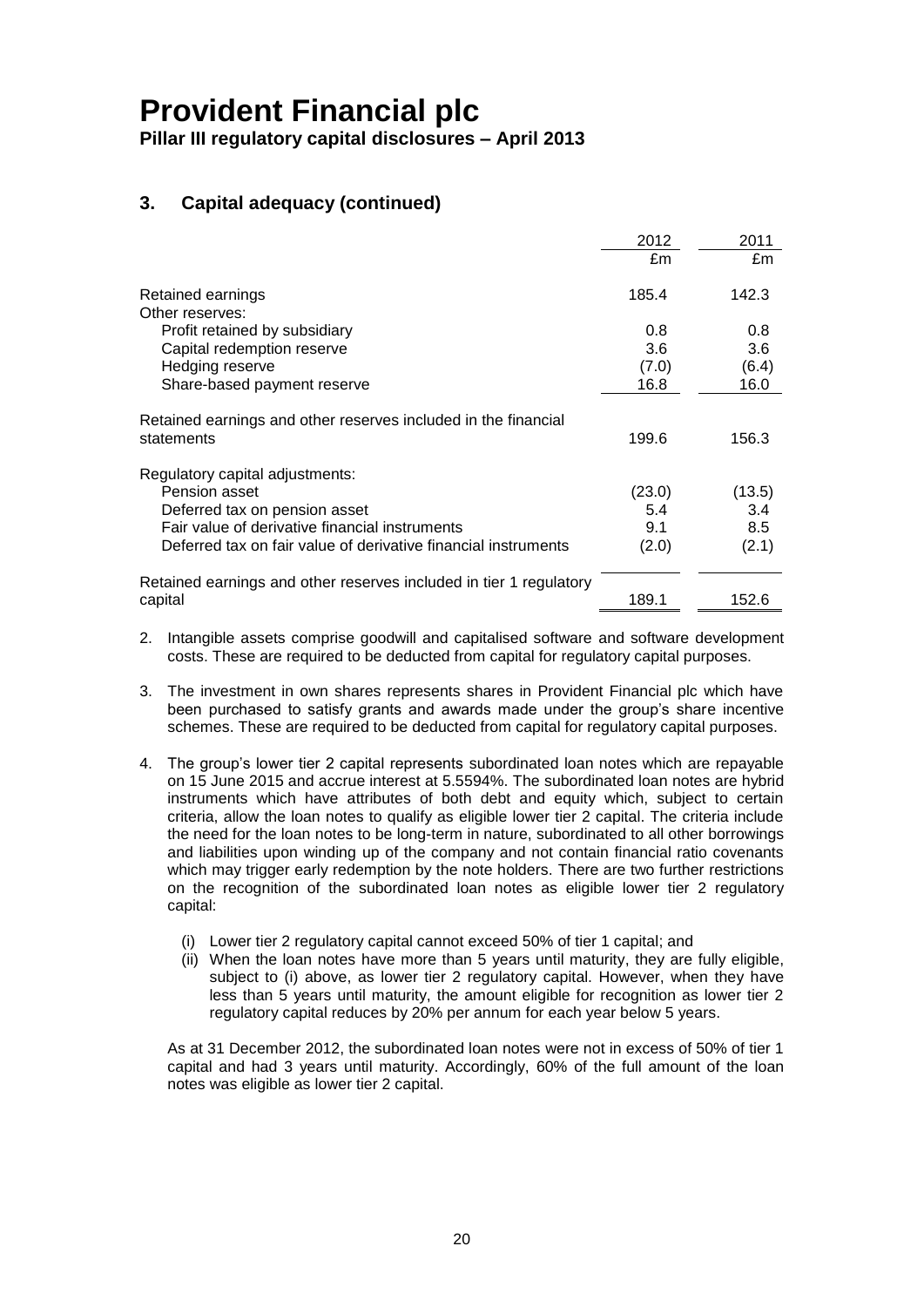**Pillar III regulatory capital disclosures – April 2013**

### **3. Capital adequacy (continued)**

|                                                                    | 2012   | 2011   |
|--------------------------------------------------------------------|--------|--------|
|                                                                    | £m     | £m     |
| Retained earnings                                                  | 185.4  | 142.3  |
| Other reserves:                                                    |        |        |
| Profit retained by subsidiary                                      | 0.8    | 0.8    |
| Capital redemption reserve                                         | 3.6    | 3.6    |
| Hedging reserve                                                    | (7.0)  | (6.4)  |
| Share-based payment reserve                                        | 16.8   | 16.0   |
| Retained earnings and other reserves included in the financial     |        |        |
| statements                                                         | 199.6  | 156.3  |
| Regulatory capital adjustments:                                    |        |        |
| Pension asset                                                      | (23.0) | (13.5) |
| Deferred tax on pension asset                                      | 5.4    | 3.4    |
| Fair value of derivative financial instruments                     | 9.1    | 8.5    |
| Deferred tax on fair value of derivative financial instruments     | (2.0)  | (2.1)  |
| Retained earnings and other reserves included in tier 1 regulatory |        |        |
| capital                                                            | 189.1  | 152.6  |

- 2. Intangible assets comprise goodwill and capitalised software and software development costs. These are required to be deducted from capital for regulatory capital purposes.
- 3. The investment in own shares represents shares in Provident Financial plc which have been purchased to satisfy grants and awards made under the group's share incentive schemes. These are required to be deducted from capital for regulatory capital purposes.
- 4. The group's lower tier 2 capital represents subordinated loan notes which are repayable on 15 June 2015 and accrue interest at 5.5594%. The subordinated loan notes are hybrid instruments which have attributes of both debt and equity which, subject to certain criteria, allow the loan notes to qualify as eligible lower tier 2 capital. The criteria include the need for the loan notes to be long-term in nature, subordinated to all other borrowings and liabilities upon winding up of the company and not contain financial ratio covenants which may trigger early redemption by the note holders. There are two further restrictions on the recognition of the subordinated loan notes as eligible lower tier 2 regulatory capital:
	- (i) Lower tier 2 regulatory capital cannot exceed 50% of tier 1 capital; and
	- (ii) When the loan notes have more than 5 years until maturity, they are fully eligible, subject to (i) above, as lower tier 2 regulatory capital. However, when they have less than 5 years until maturity, the amount eligible for recognition as lower tier 2 regulatory capital reduces by 20% per annum for each year below 5 years.

As at 31 December 2012, the subordinated loan notes were not in excess of 50% of tier 1 capital and had 3 years until maturity. Accordingly, 60% of the full amount of the loan notes was eligible as lower tier 2 capital.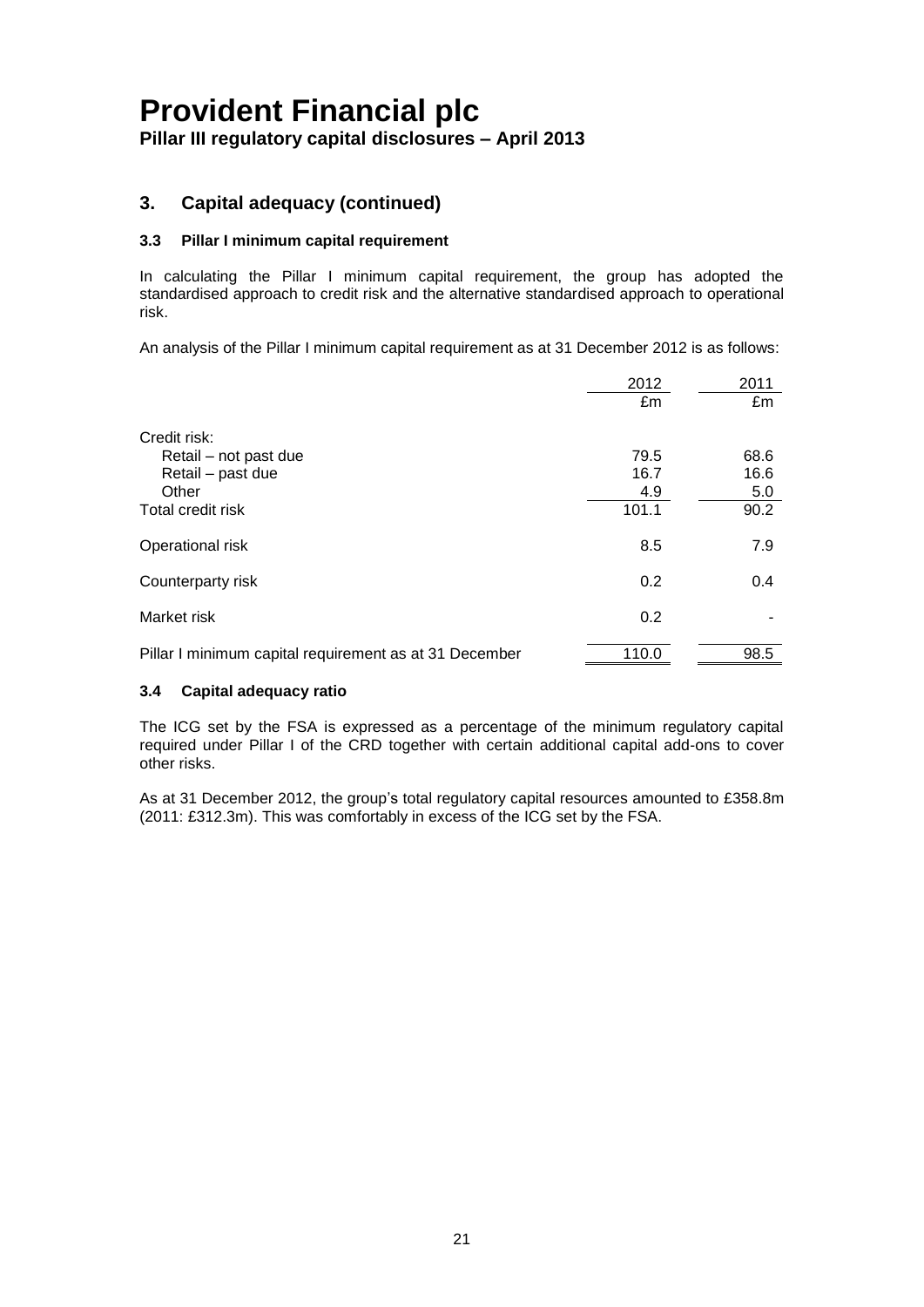**Pillar III regulatory capital disclosures – April 2013**

### **3. Capital adequacy (continued)**

### **3.3 Pillar I minimum capital requirement**

In calculating the Pillar I minimum capital requirement, the group has adopted the standardised approach to credit risk and the alternative standardised approach to operational risk.

An analysis of the Pillar I minimum capital requirement as at 31 December 2012 is as follows:

|                                                        | 2012  | 2011 |
|--------------------------------------------------------|-------|------|
|                                                        | £m    | £m   |
| Credit risk:                                           |       |      |
| Retail - not past due                                  | 79.5  | 68.6 |
| Retail - past due                                      | 16.7  | 16.6 |
| Other                                                  | 4.9   | 5.0  |
| Total credit risk                                      | 101.1 | 90.2 |
| Operational risk                                       | 8.5   | 7.9  |
| Counterparty risk                                      | 0.2   | 0.4  |
| Market risk                                            | 0.2   |      |
| Pillar I minimum capital requirement as at 31 December | 110.0 | 98.5 |

### **3.4 Capital adequacy ratio**

The ICG set by the FSA is expressed as a percentage of the minimum regulatory capital required under Pillar I of the CRD together with certain additional capital add-ons to cover other risks.

As at 31 December 2012, the group's total regulatory capital resources amounted to £358.8m (2011: £312.3m). This was comfortably in excess of the ICG set by the FSA.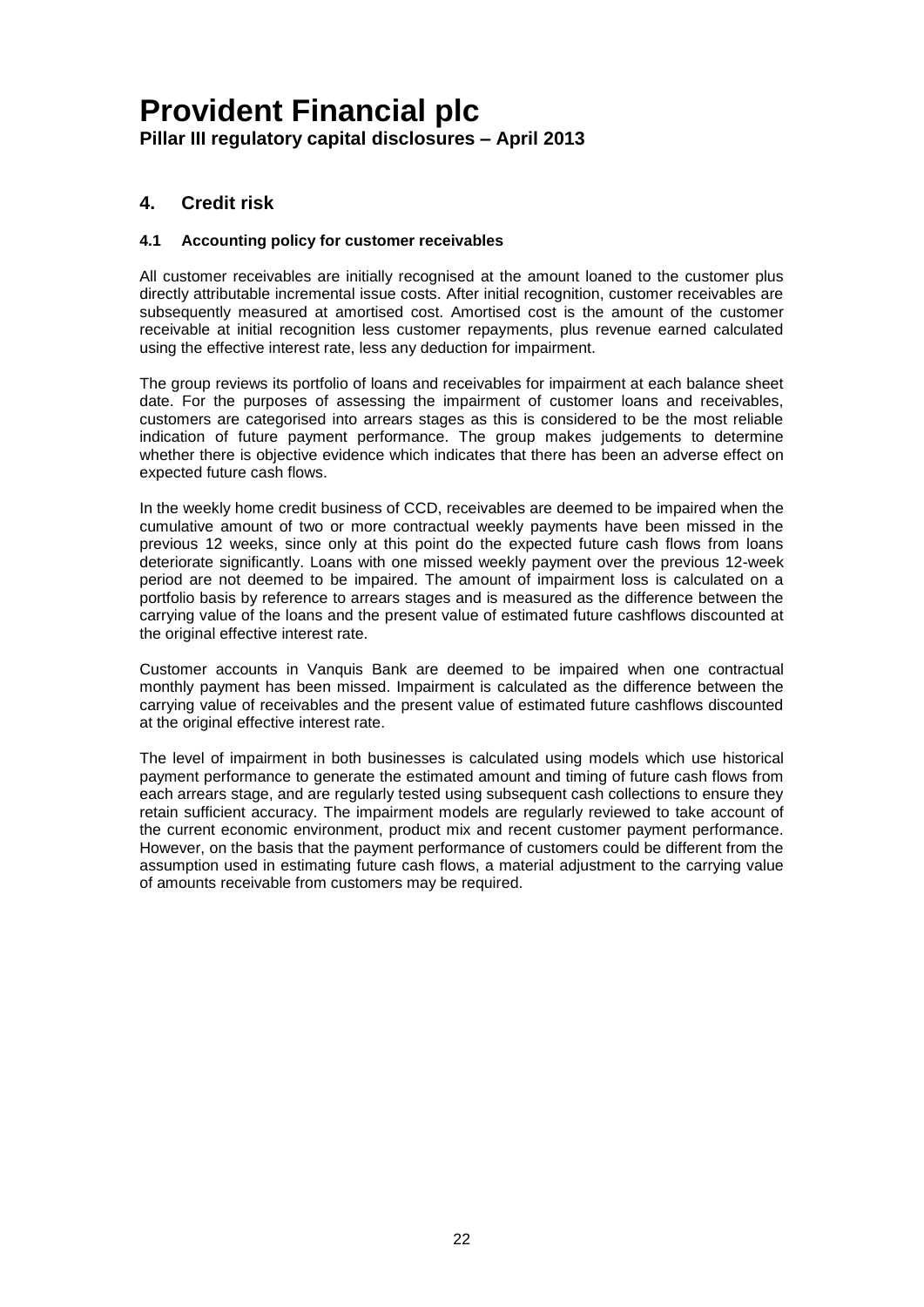### **4. Credit risk**

### **4.1 Accounting policy for customer receivables**

All customer receivables are initially recognised at the amount loaned to the customer plus directly attributable incremental issue costs. After initial recognition, customer receivables are subsequently measured at amortised cost. Amortised cost is the amount of the customer receivable at initial recognition less customer repayments, plus revenue earned calculated using the effective interest rate, less any deduction for impairment.

The group reviews its portfolio of loans and receivables for impairment at each balance sheet date. For the purposes of assessing the impairment of customer loans and receivables, customers are categorised into arrears stages as this is considered to be the most reliable indication of future payment performance. The group makes judgements to determine whether there is objective evidence which indicates that there has been an adverse effect on expected future cash flows.

In the weekly home credit business of CCD, receivables are deemed to be impaired when the cumulative amount of two or more contractual weekly payments have been missed in the previous 12 weeks, since only at this point do the expected future cash flows from loans deteriorate significantly. Loans with one missed weekly payment over the previous 12-week period are not deemed to be impaired. The amount of impairment loss is calculated on a portfolio basis by reference to arrears stages and is measured as the difference between the carrying value of the loans and the present value of estimated future cashflows discounted at the original effective interest rate.

Customer accounts in Vanquis Bank are deemed to be impaired when one contractual monthly payment has been missed. Impairment is calculated as the difference between the carrying value of receivables and the present value of estimated future cashflows discounted at the original effective interest rate.

The level of impairment in both businesses is calculated using models which use historical payment performance to generate the estimated amount and timing of future cash flows from each arrears stage, and are regularly tested using subsequent cash collections to ensure they retain sufficient accuracy. The impairment models are regularly reviewed to take account of the current economic environment, product mix and recent customer payment performance. However, on the basis that the payment performance of customers could be different from the assumption used in estimating future cash flows, a material adjustment to the carrying value of amounts receivable from customers may be required.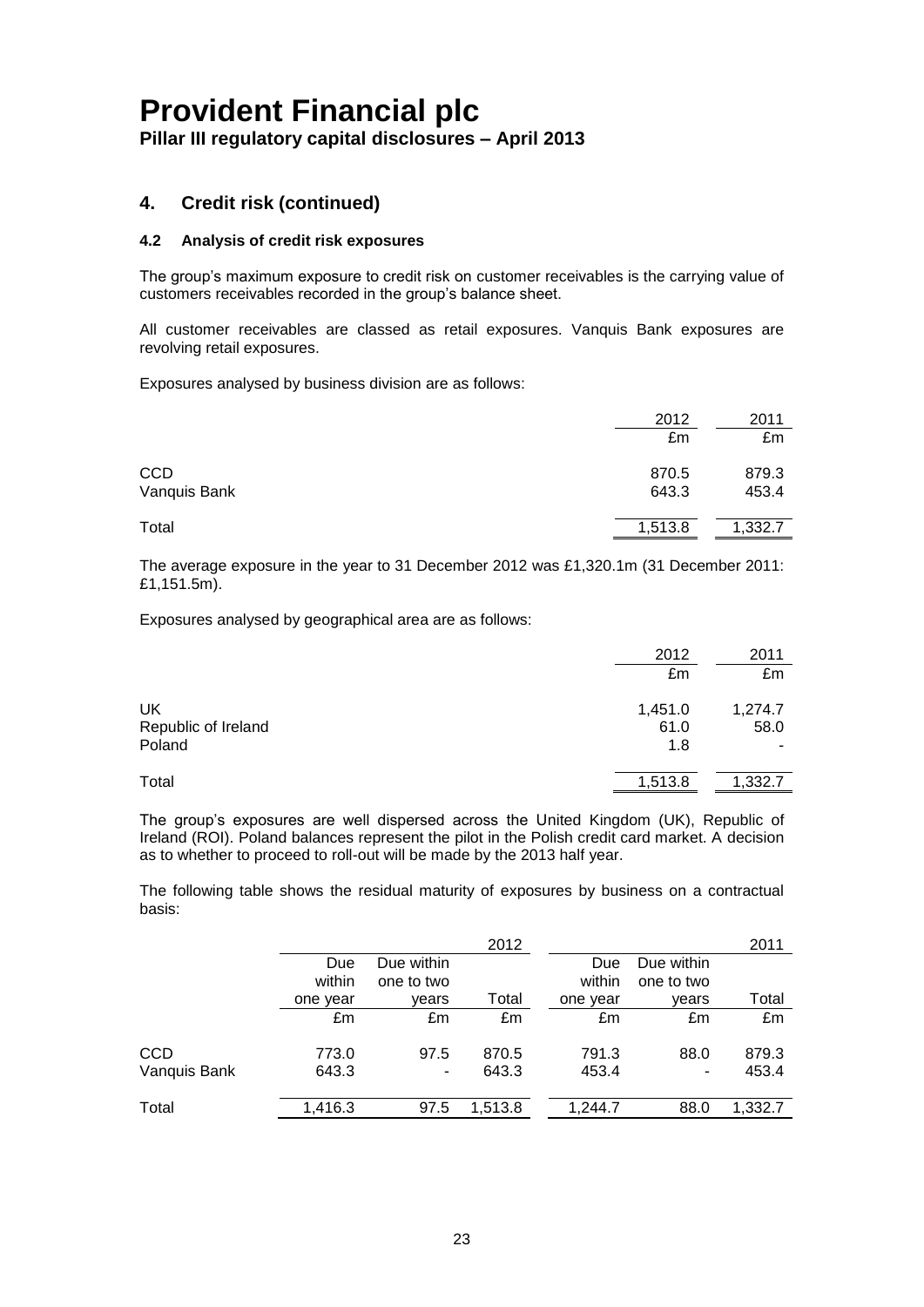### **4. Credit risk (continued)**

### **4.2 Analysis of credit risk exposures**

The group's maximum exposure to credit risk on customer receivables is the carrying value of customers receivables recorded in the group's balance sheet.

All customer receivables are classed as retail exposures. Vanquis Bank exposures are revolving retail exposures.

Exposures analysed by business division are as follows:

|                            | 2012<br>£m     | 2011<br>£m     |
|----------------------------|----------------|----------------|
| <b>CCD</b><br>Vanquis Bank | 870.5<br>643.3 | 879.3<br>453.4 |
| Total                      | 1,513.8        | 1,332.7        |

The average exposure in the year to 31 December 2012 was £1,320.1m (31 December 2011: £1,151.5m).

Exposures analysed by geographical area are as follows:

|                     | 2012    | 2011    |
|---------------------|---------|---------|
|                     | £m      | £m      |
| UK                  | 1,451.0 | 1,274.7 |
| Republic of Ireland | 61.0    | 58.0    |
| Poland              | 1.8     |         |
| Total               | 1,513.8 | 1,332.7 |

The group's exposures are well dispersed across the United Kingdom (UK), Republic of Ireland (ROI). Poland balances represent the pilot in the Polish credit card market. A decision as to whether to proceed to roll-out will be made by the 2013 half year.

The following table shows the residual maturity of exposures by business on a contractual basis:

|              |          |            | 2012    |          |            | 2011    |
|--------------|----------|------------|---------|----------|------------|---------|
|              | Due      | Due within |         | Due      | Due within |         |
|              | within   | one to two |         | within   | one to two |         |
|              | one year | vears      | Total   | one year | vears      | Total   |
|              | £m       | £m         | £m      | £m       | £m         | £m      |
| <b>CCD</b>   | 773.0    | 97.5       | 870.5   | 791.3    | 88.0       | 879.3   |
| Vanquis Bank | 643.3    | ۰          | 643.3   | 453.4    | ۰          | 453.4   |
| Total        | 1,416.3  | 97.5       | 1,513.8 | 1.244.7  | 88.0       | 1,332.7 |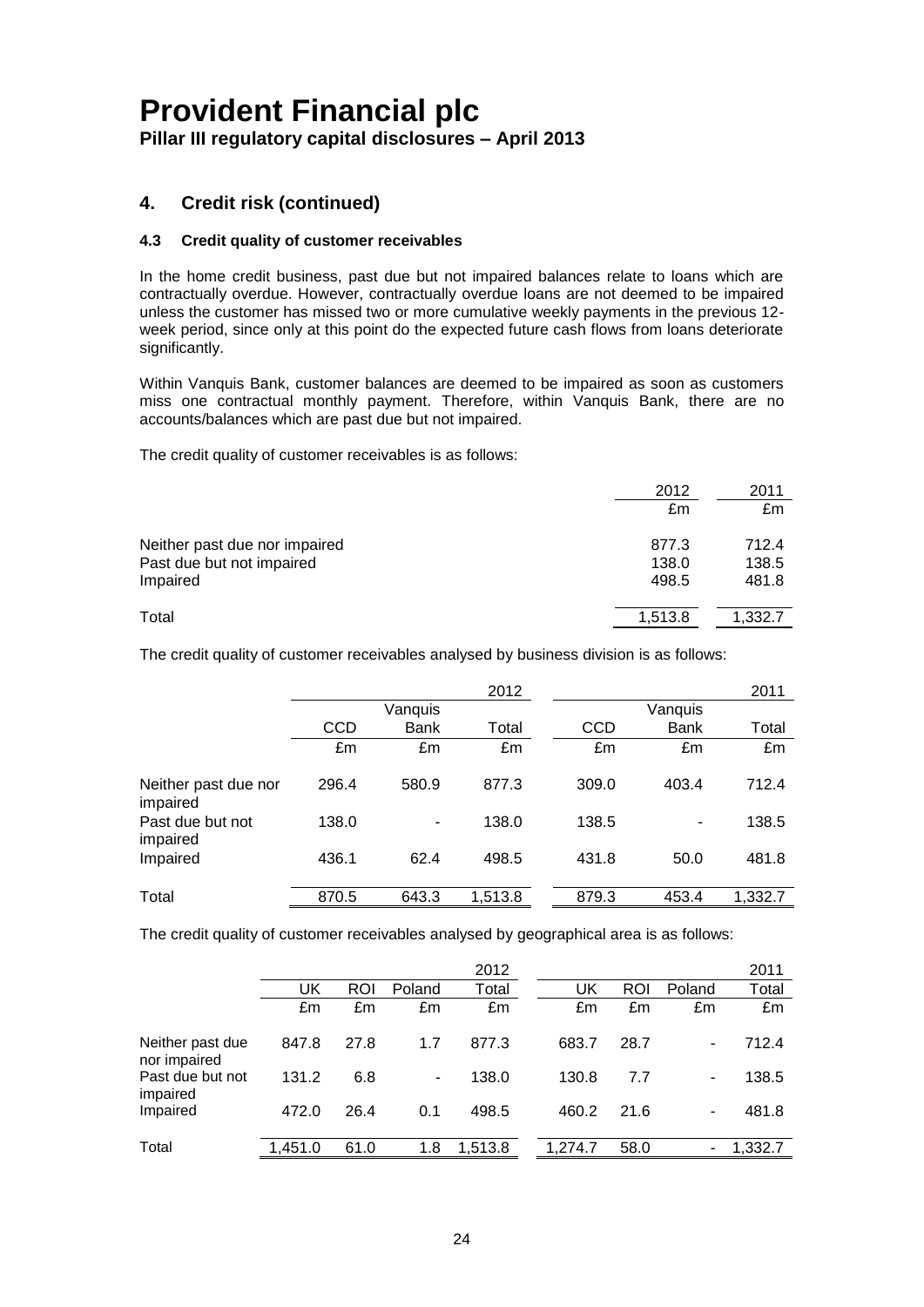**Pillar III regulatory capital disclosures – April 2013**

### **4. Credit risk (continued)**

### **4.3 Credit quality of customer receivables**

In the home credit business, past due but not impaired balances relate to loans which are contractually overdue. However, contractually overdue loans are not deemed to be impaired unless the customer has missed two or more cumulative weekly payments in the previous 12 week period, since only at this point do the expected future cash flows from loans deteriorate significantly.

Within Vanquis Bank, customer balances are deemed to be impaired as soon as customers miss one contractual monthly payment. Therefore, within Vanquis Bank, there are no accounts/balances which are past due but not impaired.

The credit quality of customer receivables is as follows:

|                                                                        | 2012<br>£m              | 2011<br>£m              |
|------------------------------------------------------------------------|-------------------------|-------------------------|
| Neither past due nor impaired<br>Past due but not impaired<br>Impaired | 877.3<br>138.0<br>498.5 | 712.4<br>138.5<br>481.8 |
| Total                                                                  | 1,513.8                 | 1,332.7                 |

The credit quality of customer receivables analysed by business division is as follows:

|                                  |            |             | 2012    |            |             | 2011    |
|----------------------------------|------------|-------------|---------|------------|-------------|---------|
|                                  |            | Vanquis     |         |            | Vanquis     |         |
|                                  | <b>CCD</b> | <b>Bank</b> | Total   | <b>CCD</b> | <b>Bank</b> | Total   |
|                                  | £m         | £m          | £m      | £m         | £m          | £m      |
| Neither past due nor<br>impaired | 296.4      | 580.9       | 877.3   | 309.0      | 403.4       | 712.4   |
| Past due but not<br>impaired     | 138.0      | ۰           | 138.0   | 138.5      |             | 138.5   |
| Impaired                         | 436.1      | 62.4        | 498.5   | 431.8      | 50.0        | 481.8   |
| Total                            | 870.5      | 643.3       | 1,513.8 | 879.3      | 453.4       | 1,332.7 |

The credit quality of customer receivables analysed by geographical area is as follows:

|                                  |         |      |        | 2012    |         |      |                          | 2011    |
|----------------------------------|---------|------|--------|---------|---------|------|--------------------------|---------|
|                                  | UK      | ROI  | Poland | Total   | UK      | ROI  | Poland                   | Total   |
|                                  | £m      | £m   | £m     | £m      | £m      | £m   | £m                       | £m      |
| Neither past due<br>nor impaired | 847.8   | 27.8 | 1.7    | 877.3   | 683.7   | 28.7 | $\overline{\phantom{a}}$ | 712.4   |
| Past due but not<br>impaired     | 131.2   | 6.8  | ۰.     | 138.0   | 130.8   | 7.7  | $\overline{\phantom{a}}$ | 138.5   |
| Impaired                         | 472.0   | 26.4 | 0.1    | 498.5   | 460.2   | 21.6 | ۰                        | 481.8   |
| Total                            | 1,451.0 | 61.0 | 1.8    | 1,513.8 | 1.274.7 | 58.0 | -                        | 1,332.7 |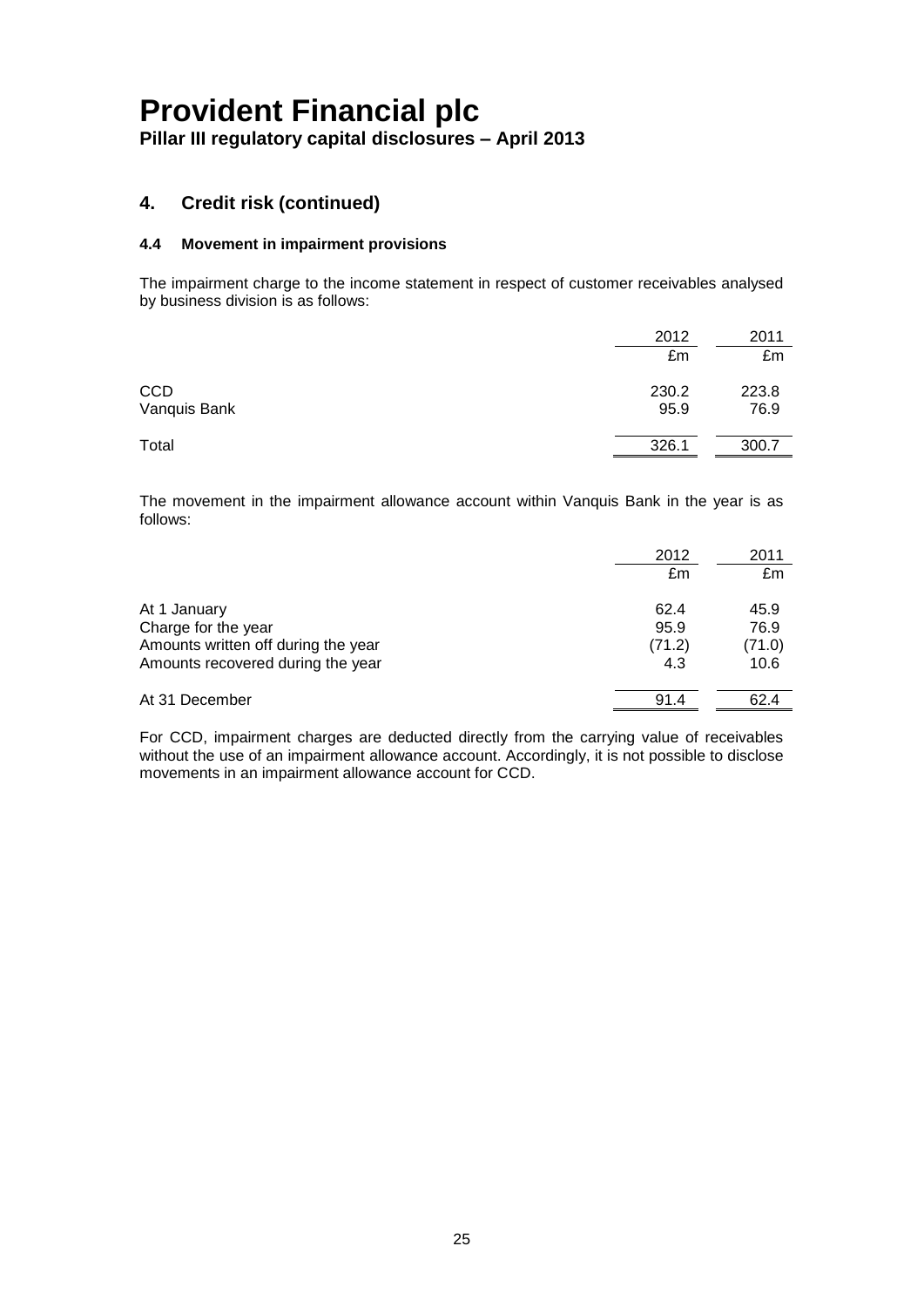**Pillar III regulatory capital disclosures – April 2013**

### **4. Credit risk (continued)**

### **4.4 Movement in impairment provisions**

The impairment charge to the income statement in respect of customer receivables analysed by business division is as follows:

|                            | 2012          | 2011          |
|----------------------------|---------------|---------------|
|                            | £m            | £m            |
| <b>CCD</b><br>Vanquis Bank | 230.2<br>95.9 | 223.8<br>76.9 |
| Total                      | 326.1         | 300.7         |

The movement in the impairment allowance account within Vanquis Bank in the year is as follows:

|                                     | 2012   | 2011   |
|-------------------------------------|--------|--------|
|                                     | £m     | £m     |
| At 1 January                        | 62.4   | 45.9   |
| Charge for the year                 | 95.9   | 76.9   |
| Amounts written off during the year | (71.2) | (71.0) |
| Amounts recovered during the year   | 4.3    | 10.6   |
| At 31 December                      | 91.4   | 62.4   |

For CCD, impairment charges are deducted directly from the carrying value of receivables without the use of an impairment allowance account. Accordingly, it is not possible to disclose movements in an impairment allowance account for CCD.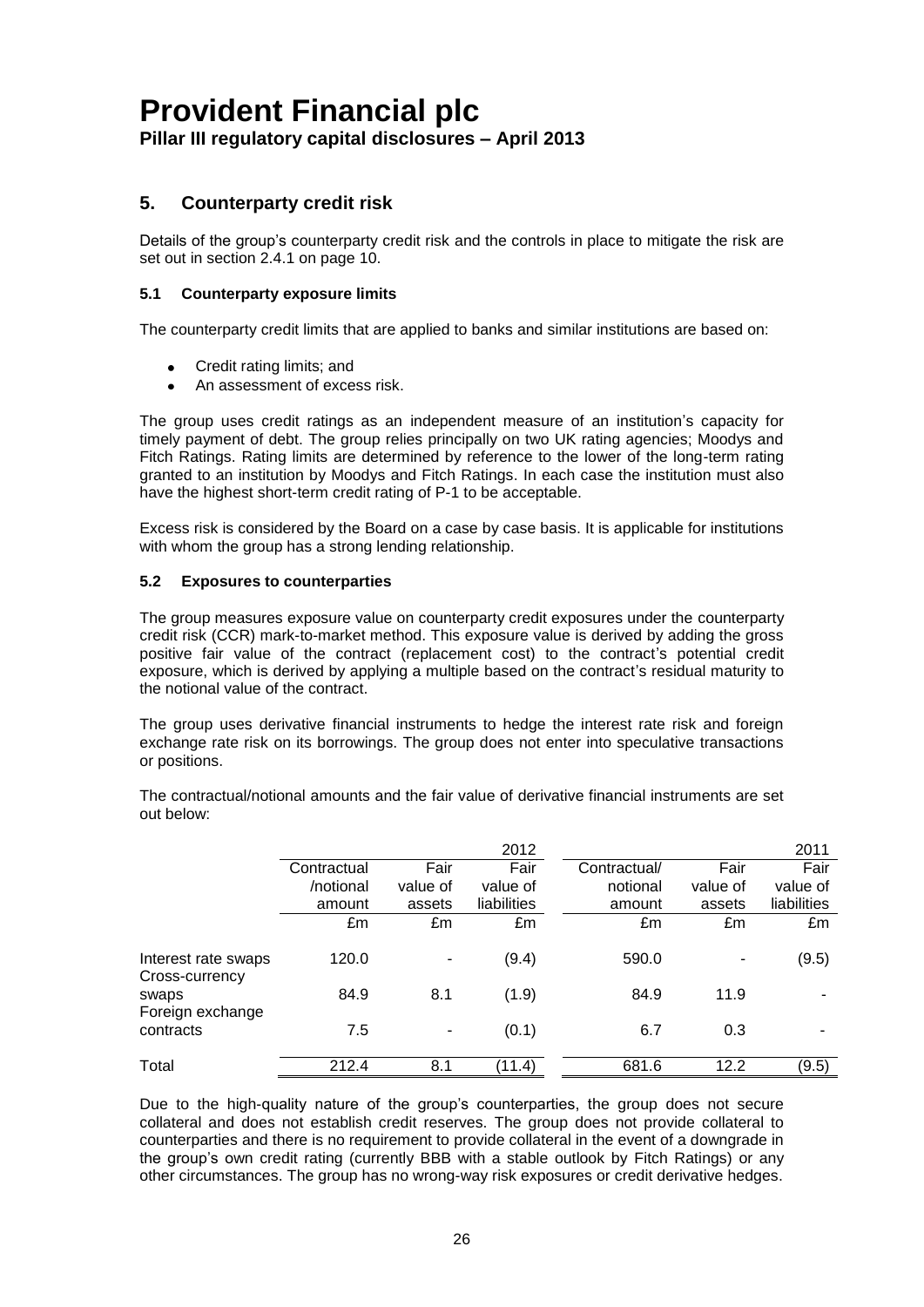### **Pillar III regulatory capital disclosures – April 2013**

### **5. Counterparty credit risk**

Details of the group's counterparty credit risk and the controls in place to mitigate the risk are set out in section 2.4.1 on page 10.

### **5.1 Counterparty exposure limits**

The counterparty credit limits that are applied to banks and similar institutions are based on:

- Credit rating limits; and
- An assessment of excess risk.

The group uses credit ratings as an independent measure of an institution's capacity for timely payment of debt. The group relies principally on two UK rating agencies; Moodys and Fitch Ratings. Rating limits are determined by reference to the lower of the long-term rating granted to an institution by Moodys and Fitch Ratings. In each case the institution must also have the highest short-term credit rating of P-1 to be acceptable.

Excess risk is considered by the Board on a case by case basis. It is applicable for institutions with whom the group has a strong lending relationship.

### **5.2 Exposures to counterparties**

The group measures exposure value on counterparty credit exposures under the counterparty credit risk (CCR) mark-to-market method. This exposure value is derived by adding the gross positive fair value of the contract (replacement cost) to the contract's potential credit exposure, which is derived by applying a multiple based on the contract's residual maturity to the notional value of the contract.

The group uses derivative financial instruments to hedge the interest rate risk and foreign exchange rate risk on its borrowings. The group does not enter into speculative transactions or positions.

The contractual/notional amounts and the fair value of derivative financial instruments are set out below:

|                                       |             |          | 2012        |              |                          | 2011        |
|---------------------------------------|-------------|----------|-------------|--------------|--------------------------|-------------|
|                                       | Contractual | Fair     | Fair        | Contractual/ | Fair                     | Fair        |
|                                       | /notional   | value of | value of    | notional     | value of                 | value of    |
|                                       | amount      | assets   | liabilities | amount       | assets                   | liabilities |
|                                       | £m          | £m       | £m          | £m           | £m                       | £m          |
| Interest rate swaps<br>Cross-currency | 120.0       |          | (9.4)       | 590.0        | $\overline{\phantom{a}}$ | (9.5)       |
| swaps<br>Foreign exchange             | 84.9        | 8.1      | (1.9)       | 84.9         | 11.9                     |             |
| contracts                             | 7.5         | ۰        | (0.1)       | 6.7          | 0.3                      |             |
| Total                                 | 212.4       | 8.1      | (11.4)      | 681.6        | 12.2                     | (9.5)       |

Due to the high-quality nature of the group's counterparties, the group does not secure collateral and does not establish credit reserves. The group does not provide collateral to counterparties and there is no requirement to provide collateral in the event of a downgrade in the group's own credit rating (currently BBB with a stable outlook by Fitch Ratings) or any other circumstances. The group has no wrong-way risk exposures or credit derivative hedges.